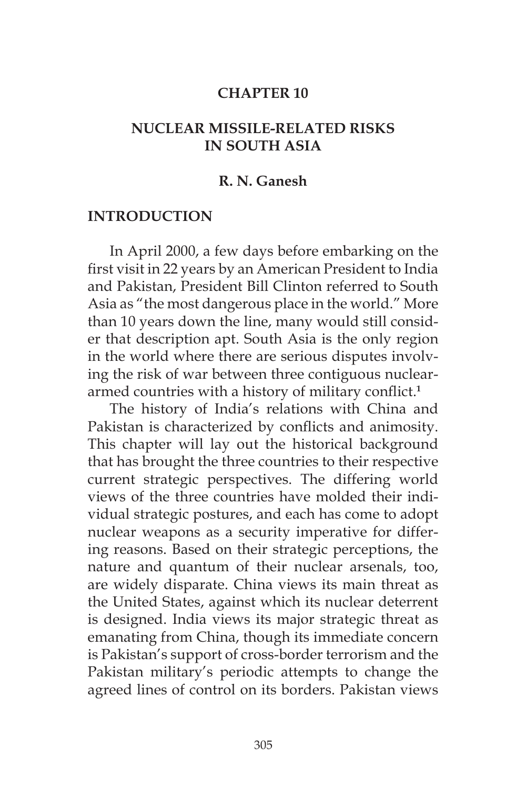#### **CHAPTER 10**

#### **NUCLEAR MISSILE-RELATED RISKS IN SOUTH ASIA**

#### **R. N. Ganesh**

#### **INTRODUCTION**

In April 2000, a few days before embarking on the first visit in 22 years by an American President to India and Pakistan, President Bill Clinton referred to South Asia as "the most dangerous place in the world." More than 10 years down the line, many would still consider that description apt. South Asia is the only region in the world where there are serious disputes involving the risk of war between three contiguous nucleararmed countries with a history of military conflict.**<sup>1</sup>**

The history of India's relations with China and Pakistan is characterized by conflicts and animosity. This chapter will lay out the historical background that has brought the three countries to their respective current strategic perspectives. The differing world views of the three countries have molded their individual strategic postures, and each has come to adopt nuclear weapons as a security imperative for differing reasons. Based on their strategic perceptions, the nature and quantum of their nuclear arsenals, too, are widely disparate. China views its main threat as the United States, against which its nuclear deterrent is designed. India views its major strategic threat as emanating from China, though its immediate concern is Pakistan's support of cross-border terrorism and the Pakistan military's periodic attempts to change the agreed lines of control on its borders. Pakistan views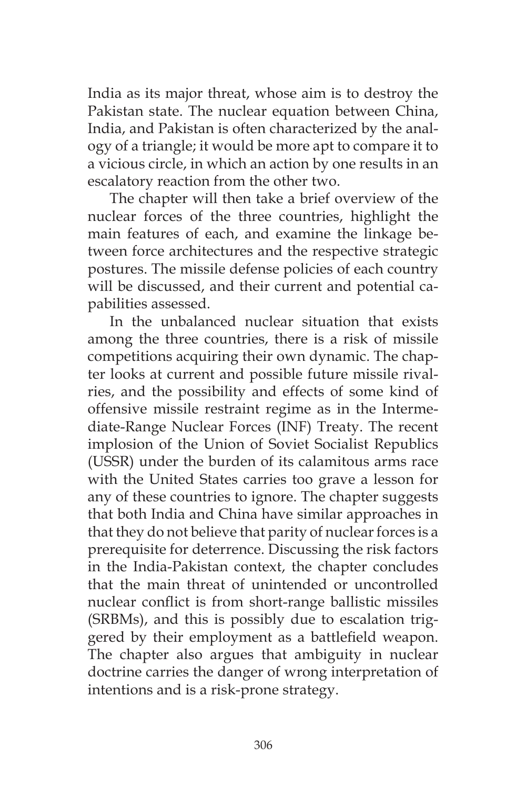India as its major threat, whose aim is to destroy the Pakistan state. The nuclear equation between China, India, and Pakistan is often characterized by the analogy of a triangle; it would be more apt to compare it to a vicious circle, in which an action by one results in an escalatory reaction from the other two.

The chapter will then take a brief overview of the nuclear forces of the three countries, highlight the main features of each, and examine the linkage between force architectures and the respective strategic postures. The missile defense policies of each country will be discussed, and their current and potential capabilities assessed.

In the unbalanced nuclear situation that exists among the three countries, there is a risk of missile competitions acquiring their own dynamic. The chapter looks at current and possible future missile rivalries, and the possibility and effects of some kind of offensive missile restraint regime as in the Intermediate-Range Nuclear Forces (INF) Treaty. The recent implosion of the Union of Soviet Socialist Republics (USSR) under the burden of its calamitous arms race with the United States carries too grave a lesson for any of these countries to ignore. The chapter suggests that both India and China have similar approaches in that they do not believe that parity of nuclear forces is a prerequisite for deterrence. Discussing the risk factors in the India-Pakistan context, the chapter concludes that the main threat of unintended or uncontrolled nuclear conflict is from short-range ballistic missiles (SRBMs), and this is possibly due to escalation triggered by their employment as a battlefield weapon. The chapter also argues that ambiguity in nuclear doctrine carries the danger of wrong interpretation of intentions and is a risk-prone strategy.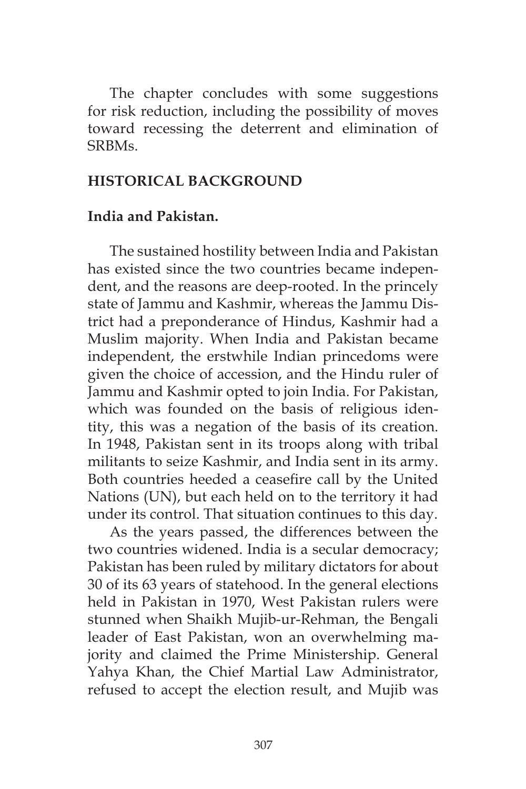The chapter concludes with some suggestions for risk reduction, including the possibility of moves toward recessing the deterrent and elimination of SRBMs.

#### **HISTORICAL BACKGROUND**

#### **India and Pakistan.**

The sustained hostility between India and Pakistan has existed since the two countries became independent, and the reasons are deep-rooted. In the princely state of Jammu and Kashmir, whereas the Jammu District had a preponderance of Hindus, Kashmir had a Muslim majority. When India and Pakistan became independent, the erstwhile Indian princedoms were given the choice of accession, and the Hindu ruler of Jammu and Kashmir opted to join India. For Pakistan, which was founded on the basis of religious identity, this was a negation of the basis of its creation. In 1948, Pakistan sent in its troops along with tribal militants to seize Kashmir, and India sent in its army. Both countries heeded a ceasefire call by the United Nations (UN), but each held on to the territory it had under its control. That situation continues to this day.

As the years passed, the differences between the two countries widened. India is a secular democracy; Pakistan has been ruled by military dictators for about 30 of its 63 years of statehood. In the general elections held in Pakistan in 1970, West Pakistan rulers were stunned when Shaikh Mujib-ur-Rehman, the Bengali leader of East Pakistan, won an overwhelming majority and claimed the Prime Ministership. General Yahya Khan, the Chief Martial Law Administrator, refused to accept the election result, and Mujib was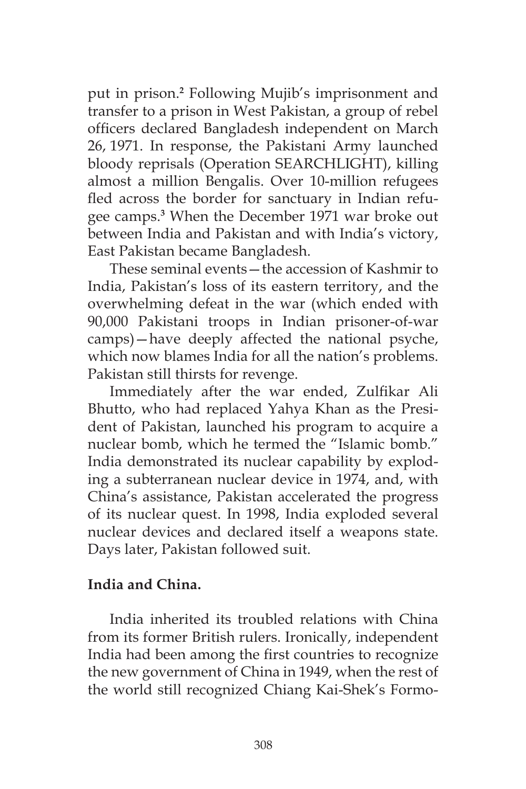put in prison.**<sup>2</sup>** Following Mujib's imprisonment and transfer to a prison in West Pakistan, a group of rebel officers declared Bangladesh independent on March 26, 1971. In response, the Pakistani Army launched bloody reprisals (Operation SEARCHLIGHT), killing almost a million Bengalis. Over 10-million refugees fled across the border for sanctuary in Indian refugee camps.**<sup>3</sup>** When the December 1971 war broke out between India and Pakistan and with India's victory, East Pakistan became Bangladesh.

These seminal events—the accession of Kashmir to India, Pakistan's loss of its eastern territory, and the overwhelming defeat in the war (which ended with 90,000 Pakistani troops in Indian prisoner-of-war camps)—have deeply affected the national psyche, which now blames India for all the nation's problems. Pakistan still thirsts for revenge.

Immediately after the war ended, Zulfikar Ali Bhutto, who had replaced Yahya Khan as the President of Pakistan, launched his program to acquire a nuclear bomb, which he termed the "Islamic bomb." India demonstrated its nuclear capability by exploding a subterranean nuclear device in 1974, and, with China's assistance, Pakistan accelerated the progress of its nuclear quest. In 1998, India exploded several nuclear devices and declared itself a weapons state. Days later, Pakistan followed suit.

### **India and China.**

India inherited its troubled relations with China from its former British rulers. Ironically, independent India had been among the first countries to recognize the new government of China in 1949, when the rest of the world still recognized Chiang Kai-Shek's Formo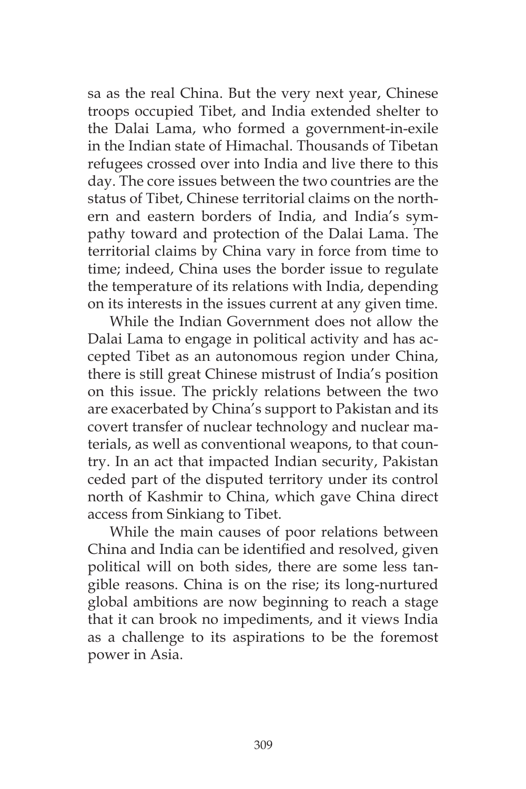sa as the real China. But the very next year, Chinese troops occupied Tibet, and India extended shelter to the Dalai Lama, who formed a government-in-exile in the Indian state of Himachal. Thousands of Tibetan refugees crossed over into India and live there to this day. The core issues between the two countries are the status of Tibet, Chinese territorial claims on the northern and eastern borders of India, and India's sympathy toward and protection of the Dalai Lama. The territorial claims by China vary in force from time to time; indeed, China uses the border issue to regulate the temperature of its relations with India, depending on its interests in the issues current at any given time.

While the Indian Government does not allow the Dalai Lama to engage in political activity and has accepted Tibet as an autonomous region under China, there is still great Chinese mistrust of India's position on this issue. The prickly relations between the two are exacerbated by China's support to Pakistan and its covert transfer of nuclear technology and nuclear materials, as well as conventional weapons, to that country. In an act that impacted Indian security, Pakistan ceded part of the disputed territory under its control north of Kashmir to China, which gave China direct access from Sinkiang to Tibet.

While the main causes of poor relations between China and India can be identified and resolved, given political will on both sides, there are some less tangible reasons. China is on the rise; its long-nurtured global ambitions are now beginning to reach a stage that it can brook no impediments, and it views India as a challenge to its aspirations to be the foremost power in Asia.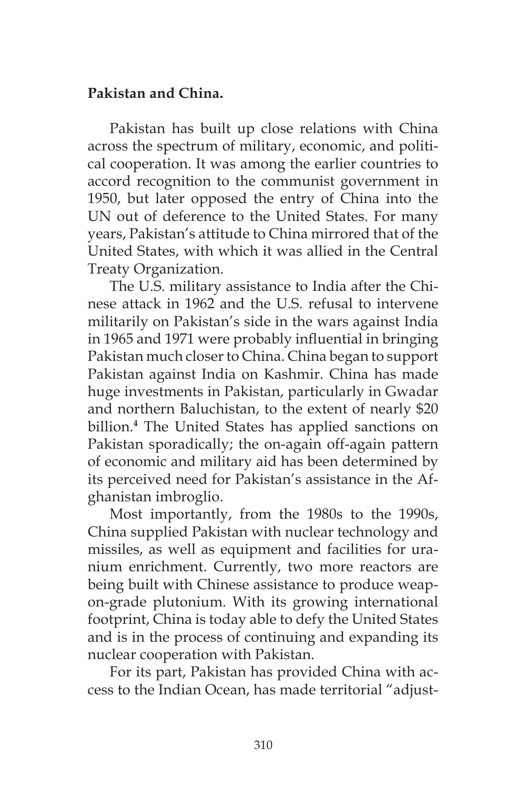#### **Pakistan and China.**

Pakistan has built up close relations with China across the spectrum of military, economic, and political cooperation. It was among the earlier countries to accord recognition to the communist government in 1950, but later opposed the entry of China into the UN out of deference to the United States. For many years, Pakistan's attitude to China mirrored that of the United States, with which it was allied in the Central Treaty Organization.

The U.S. military assistance to India after the Chinese attack in 1962 and the U.S. refusal to intervene militarily on Pakistan's side in the wars against India in 1965 and 1971 were probably influential in bringing Pakistan much closer to China. China began to support Pakistan against India on Kashmir. China has made huge investments in Pakistan, particularly in Gwadar and northern Baluchistan, to the extent of nearly \$20 billion.**<sup>4</sup>** The United States has applied sanctions on Pakistan sporadically; the on-again off-again pattern of economic and military aid has been determined by its perceived need for Pakistan's assistance in the Afghanistan imbroglio.

Most importantly, from the 1980s to the 1990s, China supplied Pakistan with nuclear technology and missiles, as well as equipment and facilities for uranium enrichment. Currently, two more reactors are being built with Chinese assistance to produce weapon-grade plutonium. With its growing international footprint, China is today able to defy the United States and is in the process of continuing and expanding its nuclear cooperation with Pakistan.

For its part, Pakistan has provided China with access to the Indian Ocean, has made territorial "adjust-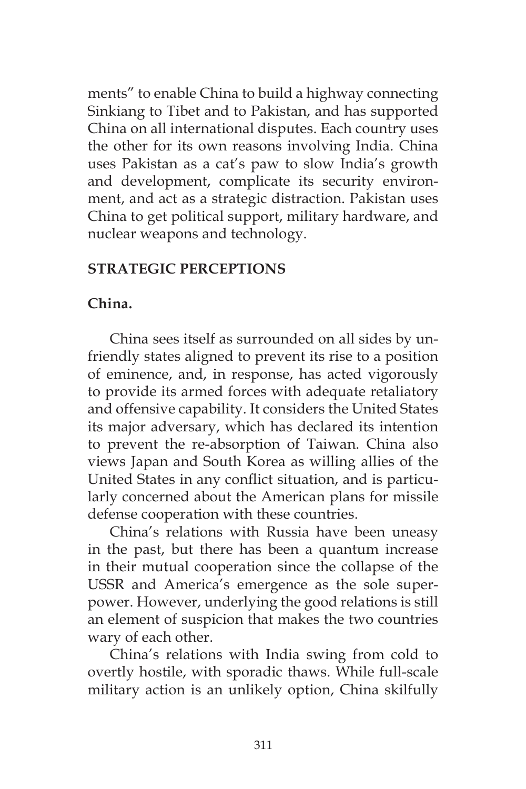ments" to enable China to build a highway connecting Sinkiang to Tibet and to Pakistan, and has supported China on all international disputes. Each country uses the other for its own reasons involving India. China uses Pakistan as a cat's paw to slow India's growth and development, complicate its security environment, and act as a strategic distraction. Pakistan uses China to get political support, military hardware, and nuclear weapons and technology.

### **STRATEGIC PERCEPTIONS**

### **China.**

China sees itself as surrounded on all sides by unfriendly states aligned to prevent its rise to a position of eminence, and, in response, has acted vigorously to provide its armed forces with adequate retaliatory and offensive capability. It considers the United States its major adversary, which has declared its intention to prevent the re-absorption of Taiwan. China also views Japan and South Korea as willing allies of the United States in any conflict situation, and is particularly concerned about the American plans for missile defense cooperation with these countries.

China's relations with Russia have been uneasy in the past, but there has been a quantum increase in their mutual cooperation since the collapse of the USSR and America's emergence as the sole superpower. However, underlying the good relations is still an element of suspicion that makes the two countries wary of each other.

China's relations with India swing from cold to overtly hostile, with sporadic thaws. While full-scale military action is an unlikely option, China skilfully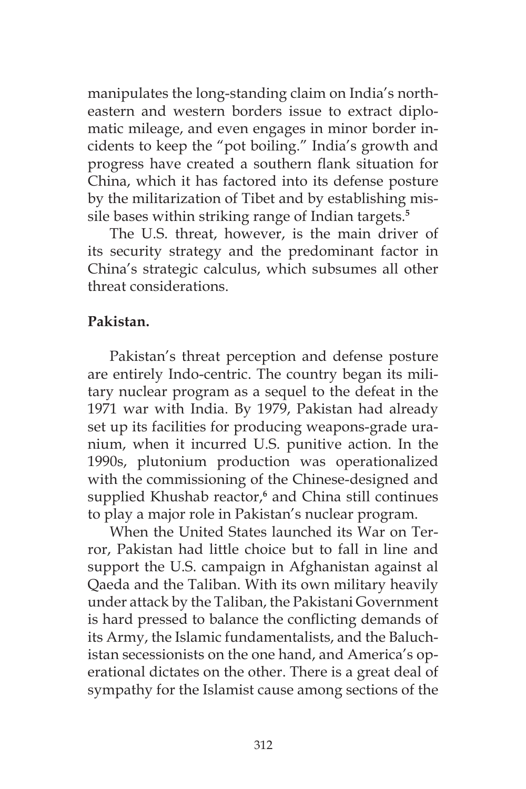manipulates the long-standing claim on India's northeastern and western borders issue to extract diplomatic mileage, and even engages in minor border incidents to keep the "pot boiling." India's growth and progress have created a southern flank situation for China, which it has factored into its defense posture by the militarization of Tibet and by establishing missile bases within striking range of Indian targets.**<sup>5</sup>**

The U.S. threat, however, is the main driver of its security strategy and the predominant factor in China's strategic calculus, which subsumes all other threat considerations.

#### **Pakistan.**

Pakistan's threat perception and defense posture are entirely Indo-centric. The country began its military nuclear program as a sequel to the defeat in the 1971 war with India. By 1979, Pakistan had already set up its facilities for producing weapons-grade uranium, when it incurred U.S. punitive action. In the 1990s, plutonium production was operationalized with the commissioning of the Chinese-designed and supplied Khushab reactor,**<sup>6</sup>** and China still continues to play a major role in Pakistan's nuclear program.

When the United States launched its War on Terror, Pakistan had little choice but to fall in line and support the U.S. campaign in Afghanistan against al Qaeda and the Taliban. With its own military heavily under attack by the Taliban, the Pakistani Government is hard pressed to balance the conflicting demands of its Army, the Islamic fundamentalists, and the Baluchistan secessionists on the one hand, and America's operational dictates on the other. There is a great deal of sympathy for the Islamist cause among sections of the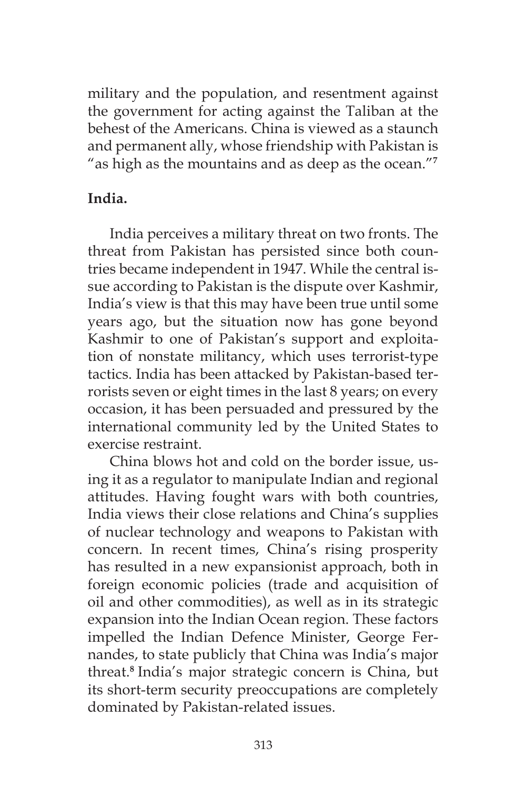military and the population, and resentment against the government for acting against the Taliban at the behest of the Americans. China is viewed as a staunch and permanent ally, whose friendship with Pakistan is "as high as the mountains and as deep as the ocean."**<sup>7</sup>**

### **India.**

India perceives a military threat on two fronts. The threat from Pakistan has persisted since both countries became independent in 1947. While the central issue according to Pakistan is the dispute over Kashmir, India's view is that this may have been true until some years ago, but the situation now has gone beyond Kashmir to one of Pakistan's support and exploitation of nonstate militancy, which uses terrorist-type tactics. India has been attacked by Pakistan-based terrorists seven or eight times in the last 8 years; on every occasion, it has been persuaded and pressured by the international community led by the United States to exercise restraint.

China blows hot and cold on the border issue, using it as a regulator to manipulate Indian and regional attitudes. Having fought wars with both countries, India views their close relations and China's supplies of nuclear technology and weapons to Pakistan with concern. In recent times, China's rising prosperity has resulted in a new expansionist approach, both in foreign economic policies (trade and acquisition of oil and other commodities), as well as in its strategic expansion into the Indian Ocean region. These factors impelled the Indian Defence Minister, George Fernandes, to state publicly that China was India's major threat.**<sup>8</sup>** India's major strategic concern is China, but its short-term security preoccupations are completely dominated by Pakistan-related issues.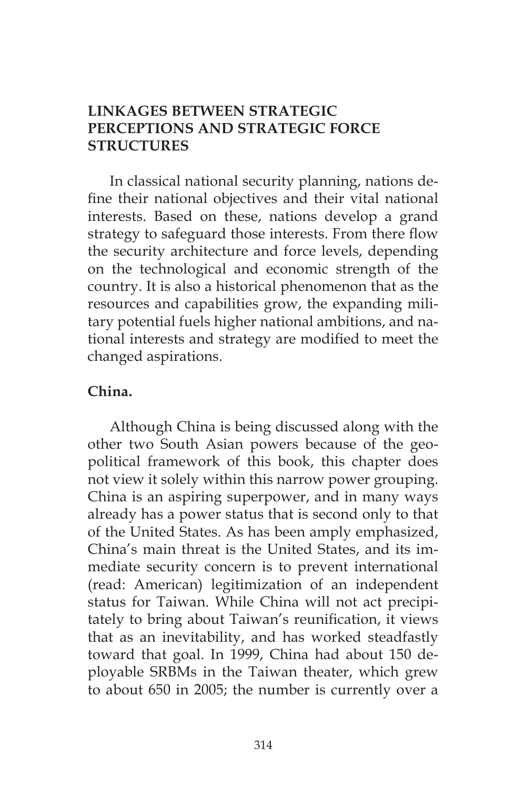### **LINKAGES BETWEEN STRATEGIC PERCEPTIONS AND STRATEGIC FORCE STRUCTURES**

In classical national security planning, nations define their national objectives and their vital national interests. Based on these, nations develop a grand strategy to safeguard those interests. From there flow the security architecture and force levels, depending on the technological and economic strength of the country. It is also a historical phenomenon that as the resources and capabilities grow, the expanding military potential fuels higher national ambitions, and national interests and strategy are modified to meet the changed aspirations.

### **China.**

Although China is being discussed along with the other two South Asian powers because of the geopolitical framework of this book, this chapter does not view it solely within this narrow power grouping. China is an aspiring superpower, and in many ways already has a power status that is second only to that of the United States. As has been amply emphasized, China's main threat is the United States, and its immediate security concern is to prevent international (read: American) legitimization of an independent status for Taiwan. While China will not act precipitately to bring about Taiwan's reunification, it views that as an inevitability, and has worked steadfastly toward that goal. In 1999, China had about 150 deployable SRBMs in the Taiwan theater, which grew to about 650 in 2005; the number is currently over a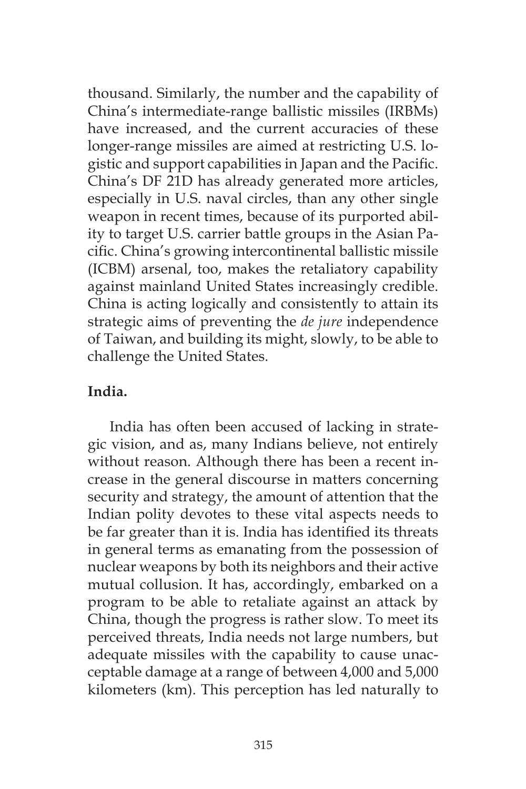thousand. Similarly, the number and the capability of China's intermediate-range ballistic missiles (IRBMs) have increased, and the current accuracies of these longer-range missiles are aimed at restricting U.S. logistic and support capabilities in Japan and the Pacific. China's DF 21D has already generated more articles, especially in U.S. naval circles, than any other single weapon in recent times, because of its purported ability to target U.S. carrier battle groups in the Asian Pacific. China's growing intercontinental ballistic missile (ICBM) arsenal, too, makes the retaliatory capability against mainland United States increasingly credible. China is acting logically and consistently to attain its strategic aims of preventing the *de jure* independence of Taiwan, and building its might, slowly, to be able to challenge the United States.

### **India.**

India has often been accused of lacking in strategic vision, and as, many Indians believe, not entirely without reason. Although there has been a recent increase in the general discourse in matters concerning security and strategy, the amount of attention that the Indian polity devotes to these vital aspects needs to be far greater than it is. India has identified its threats in general terms as emanating from the possession of nuclear weapons by both its neighbors and their active mutual collusion. It has, accordingly, embarked on a program to be able to retaliate against an attack by China, though the progress is rather slow. To meet its perceived threats, India needs not large numbers, but adequate missiles with the capability to cause unacceptable damage at a range of between 4,000 and 5,000 kilometers (km). This perception has led naturally to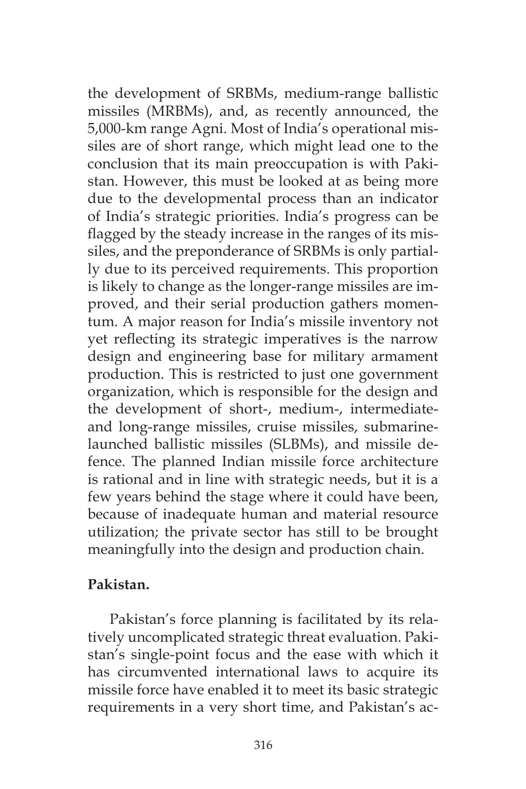the development of SRBMs, medium-range ballistic missiles (MRBMs), and, as recently announced, the 5,000-km range Agni. Most of India's operational missiles are of short range, which might lead one to the conclusion that its main preoccupation is with Pakistan. However, this must be looked at as being more due to the developmental process than an indicator of India's strategic priorities. India's progress can be flagged by the steady increase in the ranges of its missiles, and the preponderance of SRBMs is only partially due to its perceived requirements. This proportion is likely to change as the longer-range missiles are improved, and their serial production gathers momentum. A major reason for India's missile inventory not yet reflecting its strategic imperatives is the narrow design and engineering base for military armament production. This is restricted to just one government organization, which is responsible for the design and the development of short-, medium-, intermediateand long-range missiles, cruise missiles, submarinelaunched ballistic missiles (SLBMs), and missile defence. The planned Indian missile force architecture is rational and in line with strategic needs, but it is a few years behind the stage where it could have been, because of inadequate human and material resource utilization; the private sector has still to be brought meaningfully into the design and production chain.

#### **Pakistan.**

Pakistan's force planning is facilitated by its relatively uncomplicated strategic threat evaluation. Pakistan's single-point focus and the ease with which it has circumvented international laws to acquire its missile force have enabled it to meet its basic strategic requirements in a very short time, and Pakistan's ac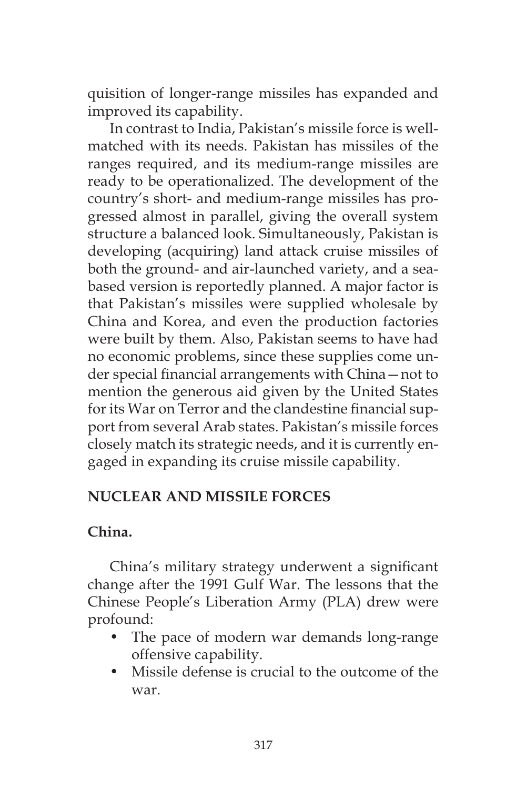quisition of longer-range missiles has expanded and improved its capability.

In contrast to India, Pakistan's missile force is wellmatched with its needs. Pakistan has missiles of the ranges required, and its medium-range missiles are ready to be operationalized. The development of the country's short- and medium-range missiles has progressed almost in parallel, giving the overall system structure a balanced look. Simultaneously, Pakistan is developing (acquiring) land attack cruise missiles of both the ground- and air-launched variety, and a seabased version is reportedly planned. A major factor is that Pakistan's missiles were supplied wholesale by China and Korea, and even the production factories were built by them. Also, Pakistan seems to have had no economic problems, since these supplies come under special financial arrangements with China—not to mention the generous aid given by the United States for its War on Terror and the clandestine financial support from several Arab states. Pakistan's missile forces closely match its strategic needs, and it is currently engaged in expanding its cruise missile capability.

### **NUCLEAR AND MISSILE FORCES**

### **China.**

China's military strategy underwent a significant change after the 1991 Gulf War. The lessons that the Chinese People's Liberation Army (PLA) drew were profound:

- The pace of modern war demands long-range offensive capability.
- Missile defense is crucial to the outcome of the war.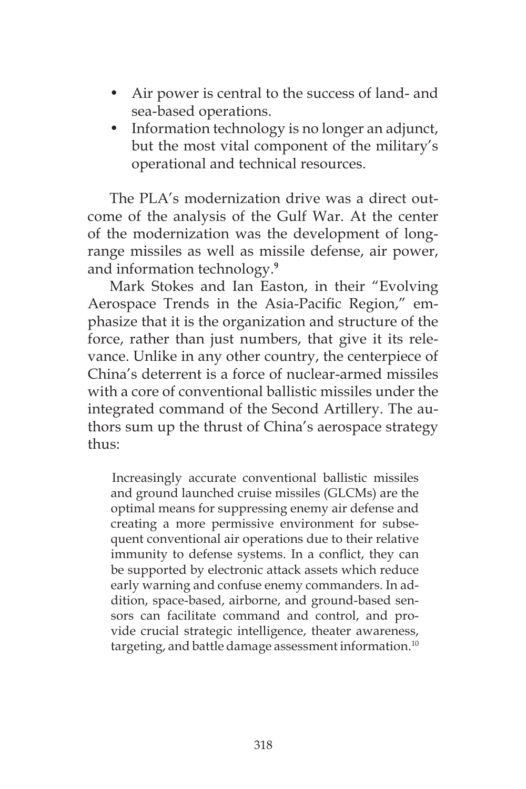- Air power is central to the success of land- and sea-based operations.
- Information technology is no longer an adjunct, but the most vital component of the military's operational and technical resources.

The PLA's modernization drive was a direct outcome of the analysis of the Gulf War. At the center of the modernization was the development of longrange missiles as well as missile defense, air power, and information technology.**<sup>9</sup>**

Mark Stokes and Ian Easton, in their "Evolving Aerospace Trends in the Asia-Pacific Region," emphasize that it is the organization and structure of the force, rather than just numbers, that give it its relevance. Unlike in any other country, the centerpiece of China's deterrent is a force of nuclear-armed missiles with a core of conventional ballistic missiles under the integrated command of the Second Artillery. The authors sum up the thrust of China's aerospace strategy thus:

Increasingly accurate conventional ballistic missiles and ground launched cruise missiles (GLCMs) are the optimal means for suppressing enemy air defense and creating a more permissive environment for subsequent conventional air operations due to their relative immunity to defense systems. In a conflict, they can be supported by electronic attack assets which reduce early warning and confuse enemy commanders. In addition, space-based, airborne, and ground-based sensors can facilitate command and control, and provide crucial strategic intelligence, theater awareness, targeting, and battle damage assessment information.10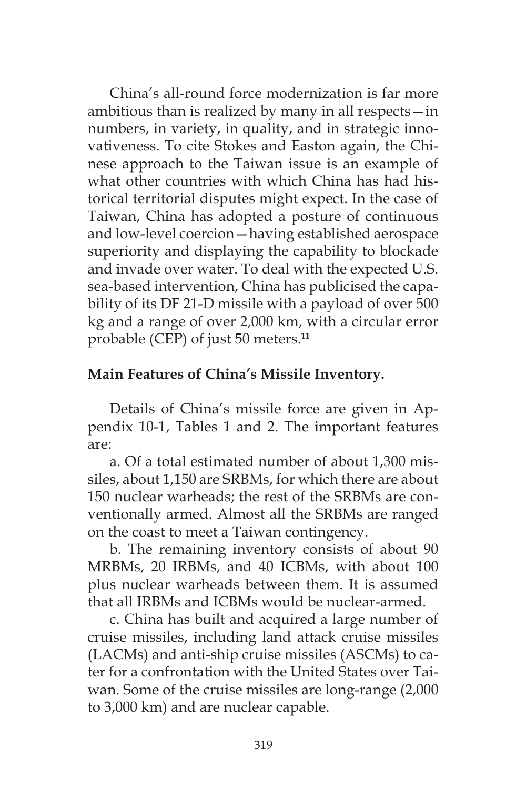China's all-round force modernization is far more ambitious than is realized by many in all respects—in numbers, in variety, in quality, and in strategic innovativeness. To cite Stokes and Easton again, the Chinese approach to the Taiwan issue is an example of what other countries with which China has had historical territorial disputes might expect. In the case of Taiwan, China has adopted a posture of continuous and low-level coercion—having established aerospace superiority and displaying the capability to blockade and invade over water. To deal with the expected U.S. sea-based intervention, China has publicised the capability of its DF 21-D missile with a payload of over 500 kg and a range of over 2,000 km, with a circular error probable (CEP) of just 50 meters.**<sup>11</sup>**

### **Main Features of China's Missile Inventory.**

Details of China's missile force are given in Appendix 10-1, Tables 1 and 2. The important features are:

a. Of a total estimated number of about 1,300 missiles, about 1,150 are SRBMs, for which there are about 150 nuclear warheads; the rest of the SRBMs are conventionally armed. Almost all the SRBMs are ranged on the coast to meet a Taiwan contingency.

b. The remaining inventory consists of about 90 MRBMs, 20 IRBMs, and 40 ICBMs, with about 100 plus nuclear warheads between them. It is assumed that all IRBMs and ICBMs would be nuclear-armed.

c. China has built and acquired a large number of cruise missiles, including land attack cruise missiles (LACMs) and anti-ship cruise missiles (ASCMs) to cater for a confrontation with the United States over Taiwan. Some of the cruise missiles are long-range (2,000 to 3,000 km) and are nuclear capable.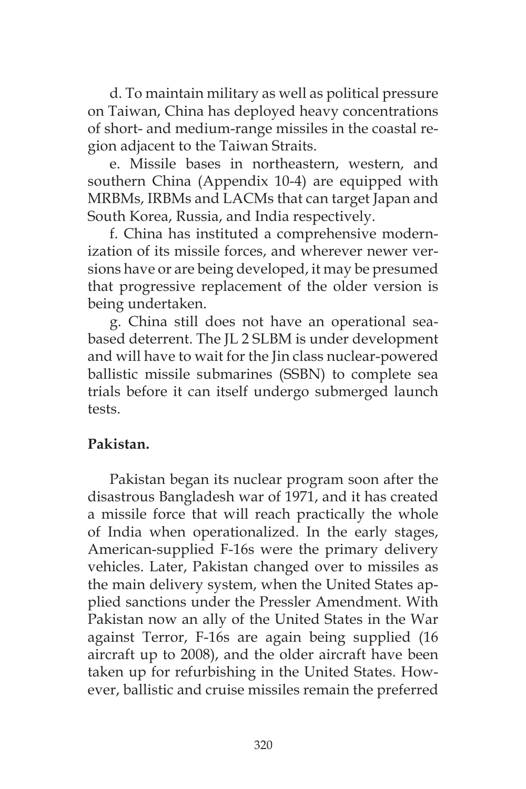d. To maintain military as well as political pressure on Taiwan, China has deployed heavy concentrations of short- and medium-range missiles in the coastal region adjacent to the Taiwan Straits.

e. Missile bases in northeastern, western, and southern China (Appendix 10-4) are equipped with MRBMs, IRBMs and LACMs that can target Japan and South Korea, Russia, and India respectively.

f. China has instituted a comprehensive modernization of its missile forces, and wherever newer versions have or are being developed, it may be presumed that progressive replacement of the older version is being undertaken.

g. China still does not have an operational seabased deterrent. The JL 2 SLBM is under development and will have to wait for the Jin class nuclear-powered ballistic missile submarines (SSBN) to complete sea trials before it can itself undergo submerged launch tests.

### **Pakistan.**

Pakistan began its nuclear program soon after the disastrous Bangladesh war of 1971, and it has created a missile force that will reach practically the whole of India when operationalized. In the early stages, American-supplied F-16s were the primary delivery vehicles. Later, Pakistan changed over to missiles as the main delivery system, when the United States applied sanctions under the Pressler Amendment. With Pakistan now an ally of the United States in the War against Terror, F-16s are again being supplied (16 aircraft up to 2008), and the older aircraft have been taken up for refurbishing in the United States. However, ballistic and cruise missiles remain the preferred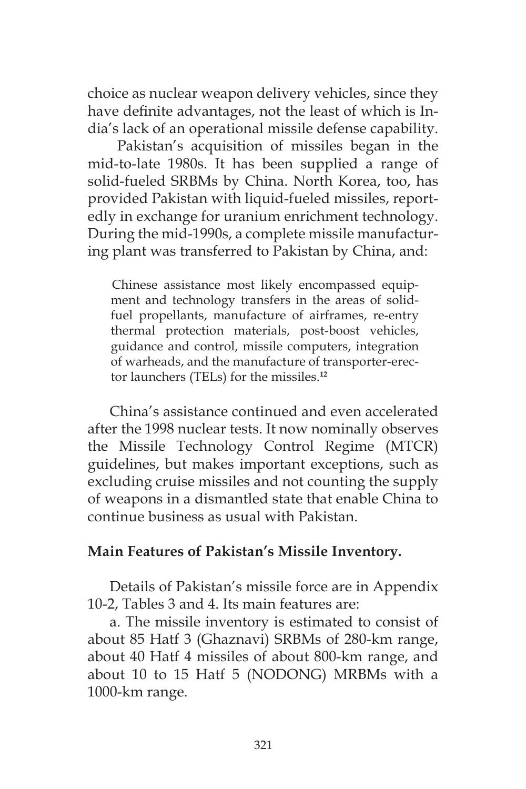choice as nuclear weapon delivery vehicles, since they have definite advantages, not the least of which is India's lack of an operational missile defense capability.

 Pakistan's acquisition of missiles began in the mid-to-late 1980s. It has been supplied a range of solid-fueled SRBMs by China. North Korea, too, has provided Pakistan with liquid-fueled missiles, reportedly in exchange for uranium enrichment technology. During the mid-1990s, a complete missile manufacturing plant was transferred to Pakistan by China, and:

Chinese assistance most likely encompassed equipment and technology transfers in the areas of solidfuel propellants, manufacture of airframes, re-entry thermal protection materials, post-boost vehicles, guidance and control, missile computers, integration of warheads, and the manufacture of transporter-erector launchers (TELs) for the missiles.**<sup>12</sup>**

China's assistance continued and even accelerated after the 1998 nuclear tests. It now nominally observes the Missile Technology Control Regime (MTCR) guidelines, but makes important exceptions, such as excluding cruise missiles and not counting the supply of weapons in a dismantled state that enable China to continue business as usual with Pakistan.

#### **Main Features of Pakistan's Missile Inventory.**

Details of Pakistan's missile force are in Appendix 10-2, Tables 3 and 4. Its main features are:

a. The missile inventory is estimated to consist of about 85 Hatf 3 (Ghaznavi) SRBMs of 280-km range, about 40 Hatf 4 missiles of about 800-km range, and about 10 to 15 Hatf 5 (NODONG) MRBMs with a 1000-km range.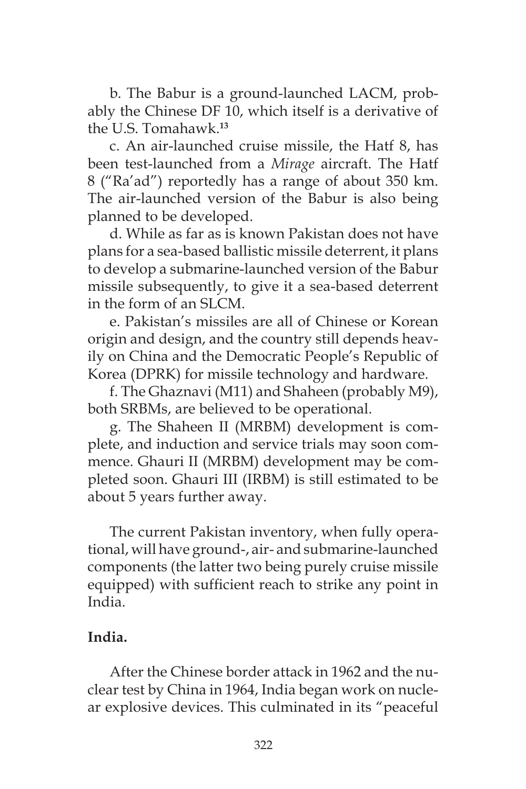b. The Babur is a ground-launched LACM, probably the Chinese DF 10, which itself is a derivative of the U.S. Tomahawk.**<sup>13</sup>**

c. An air-launched cruise missile, the Hatf 8, has been test-launched from a *Mirage* aircraft. The Hatf 8 ("Ra'ad") reportedly has a range of about 350 km. The air-launched version of the Babur is also being planned to be developed.

d. While as far as is known Pakistan does not have plans for a sea-based ballistic missile deterrent, it plans to develop a submarine-launched version of the Babur missile subsequently, to give it a sea-based deterrent in the form of an SLCM.

e. Pakistan's missiles are all of Chinese or Korean origin and design, and the country still depends heavily on China and the Democratic People's Republic of Korea (DPRK) for missile technology and hardware.

f. The Ghaznavi (M11) and Shaheen (probably M9), both SRBMs, are believed to be operational.

g. The Shaheen II (MRBM) development is complete, and induction and service trials may soon commence. Ghauri II (MRBM) development may be completed soon. Ghauri III (IRBM) is still estimated to be about 5 years further away.

The current Pakistan inventory, when fully operational, will have ground-, air- and submarine-launched components (the latter two being purely cruise missile equipped) with sufficient reach to strike any point in India.

#### **India.**

After the Chinese border attack in 1962 and the nuclear test by China in 1964, India began work on nuclear explosive devices. This culminated in its "peaceful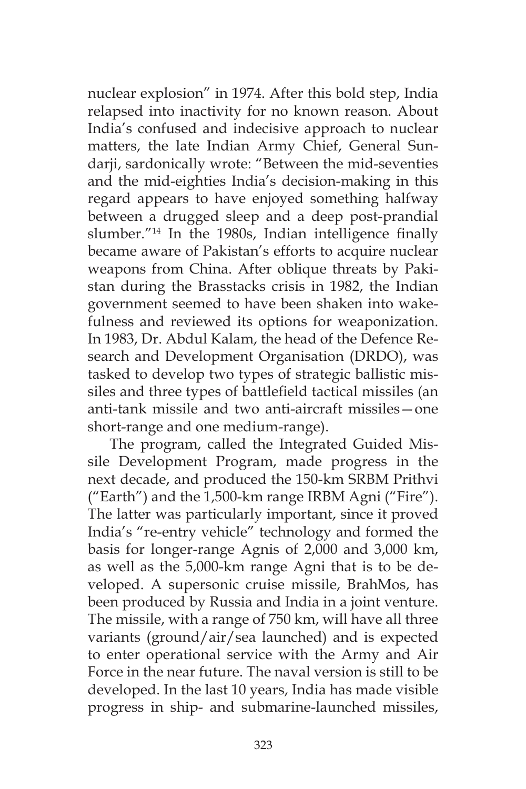nuclear explosion" in 1974. After this bold step, India relapsed into inactivity for no known reason. About India's confused and indecisive approach to nuclear matters, the late Indian Army Chief, General Sundarji, sardonically wrote: "Between the mid-seventies and the mid-eighties India's decision-making in this regard appears to have enjoyed something halfway between a drugged sleep and a deep post-prandial slumber.<sup>"14</sup> In the 1980s, Indian intelligence finally became aware of Pakistan's efforts to acquire nuclear weapons from China. After oblique threats by Pakistan during the Brasstacks crisis in 1982, the Indian government seemed to have been shaken into wakefulness and reviewed its options for weaponization. In 1983, Dr. Abdul Kalam, the head of the Defence Research and Development Organisation (DRDO), was tasked to develop two types of strategic ballistic missiles and three types of battlefield tactical missiles (an anti-tank missile and two anti-aircraft missiles—one short-range and one medium-range).

The program, called the Integrated Guided Missile Development Program, made progress in the next decade, and produced the 150-km SRBM Prithvi ("Earth") and the 1,500-km range IRBM Agni ("Fire"). The latter was particularly important, since it proved India's "re-entry vehicle" technology and formed the basis for longer-range Agnis of 2,000 and 3,000 km, as well as the 5,000-km range Agni that is to be developed. A supersonic cruise missile, BrahMos, has been produced by Russia and India in a joint venture. The missile, with a range of 750 km, will have all three variants (ground/air/sea launched) and is expected to enter operational service with the Army and Air Force in the near future. The naval version is still to be developed. In the last 10 years, India has made visible progress in ship- and submarine-launched missiles,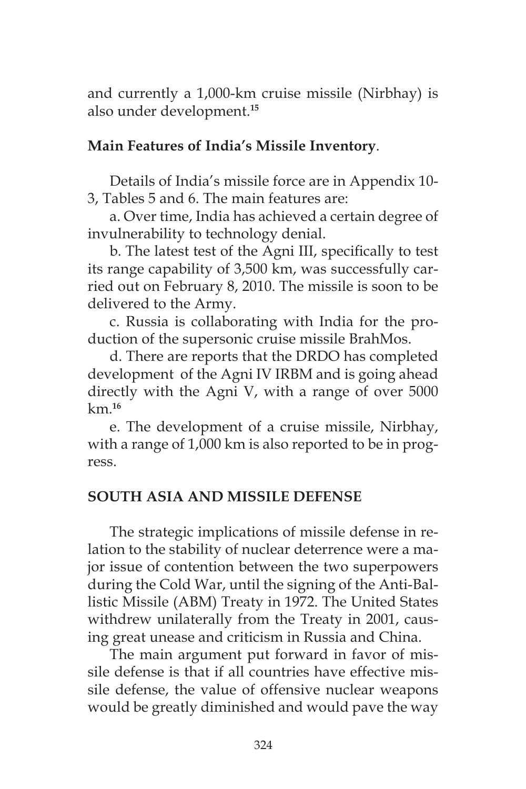and currently a 1,000-km cruise missile (Nirbhay) is also under development.**<sup>15</sup>**

#### **Main Features of India's Missile Inventory**.

Details of India's missile force are in Appendix 10- 3, Tables 5 and 6. The main features are:

a. Over time, India has achieved a certain degree of invulnerability to technology denial.

b. The latest test of the Agni III, specifically to test its range capability of 3,500 km, was successfully carried out on February 8, 2010. The missile is soon to be delivered to the Army.

c. Russia is collaborating with India for the production of the supersonic cruise missile BrahMos.

d. There are reports that the DRDO has completed development of the Agni IV IRBM and is going ahead directly with the Agni V, with a range of over 5000 km.**<sup>16</sup>**

e. The development of a cruise missile, Nirbhay, with a range of 1,000 km is also reported to be in progress.

#### **SOUTH ASIA AND MISSILE DEFENSE**

The strategic implications of missile defense in relation to the stability of nuclear deterrence were a major issue of contention between the two superpowers during the Cold War, until the signing of the Anti-Ballistic Missile (ABM) Treaty in 1972. The United States withdrew unilaterally from the Treaty in 2001, causing great unease and criticism in Russia and China.

The main argument put forward in favor of missile defense is that if all countries have effective missile defense, the value of offensive nuclear weapons would be greatly diminished and would pave the way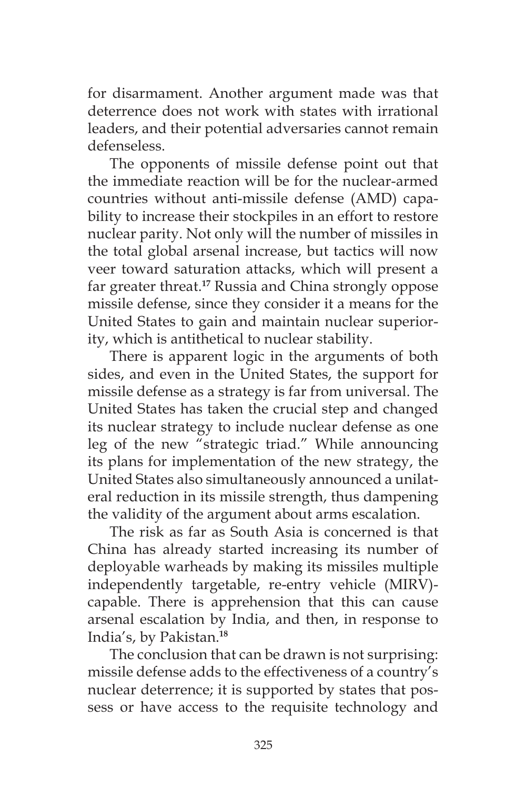for disarmament. Another argument made was that deterrence does not work with states with irrational leaders, and their potential adversaries cannot remain defenseless.

The opponents of missile defense point out that the immediate reaction will be for the nuclear-armed countries without anti-missile defense (AMD) capability to increase their stockpiles in an effort to restore nuclear parity. Not only will the number of missiles in the total global arsenal increase, but tactics will now veer toward saturation attacks, which will present a far greater threat.**<sup>17</sup>** Russia and China strongly oppose missile defense, since they consider it a means for the United States to gain and maintain nuclear superiority, which is antithetical to nuclear stability.

There is apparent logic in the arguments of both sides, and even in the United States, the support for missile defense as a strategy is far from universal. The United States has taken the crucial step and changed its nuclear strategy to include nuclear defense as one leg of the new "strategic triad." While announcing its plans for implementation of the new strategy, the United States also simultaneously announced a unilateral reduction in its missile strength, thus dampening the validity of the argument about arms escalation.

The risk as far as South Asia is concerned is that China has already started increasing its number of deployable warheads by making its missiles multiple independently targetable, re-entry vehicle (MIRV) capable. There is apprehension that this can cause arsenal escalation by India, and then, in response to India's, by Pakistan.**<sup>18</sup>**

The conclusion that can be drawn is not surprising: missile defense adds to the effectiveness of a country's nuclear deterrence; it is supported by states that possess or have access to the requisite technology and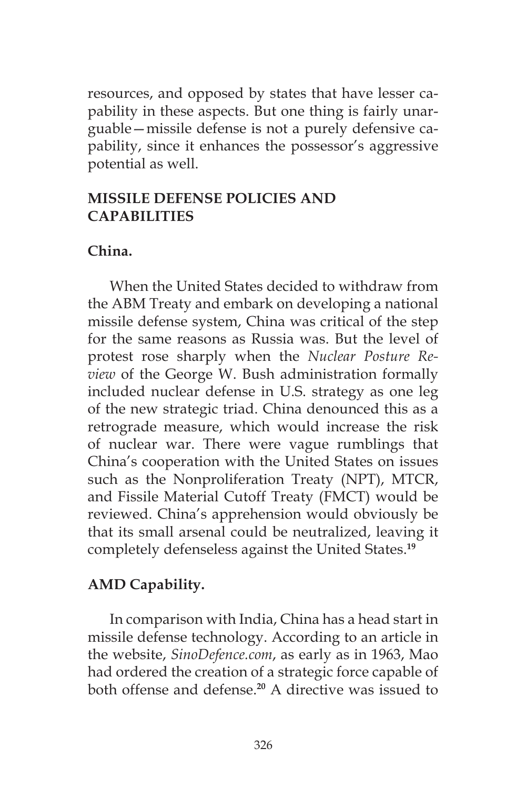resources, and opposed by states that have lesser capability in these aspects. But one thing is fairly unarguable—missile defense is not a purely defensive capability, since it enhances the possessor's aggressive potential as well.

### **MISSILE DEFENSE POLICIES AND CAPABILITIES**

### **China.**

When the United States decided to withdraw from the ABM Treaty and embark on developing a national missile defense system, China was critical of the step for the same reasons as Russia was. But the level of protest rose sharply when the *Nuclear Posture Review* of the George W. Bush administration formally included nuclear defense in U.S. strategy as one leg of the new strategic triad. China denounced this as a retrograde measure, which would increase the risk of nuclear war. There were vague rumblings that China's cooperation with the United States on issues such as the Nonproliferation Treaty (NPT), MTCR, and Fissile Material Cutoff Treaty (FMCT) would be reviewed. China's apprehension would obviously be that its small arsenal could be neutralized, leaving it completely defenseless against the United States.**<sup>19</sup>**

## **AMD Capability.**

In comparison with India, China has a head start in missile defense technology. According to an article in the website, *SinoDefence.com*, as early as in 1963, Mao had ordered the creation of a strategic force capable of both offense and defense.**20** A directive was issued to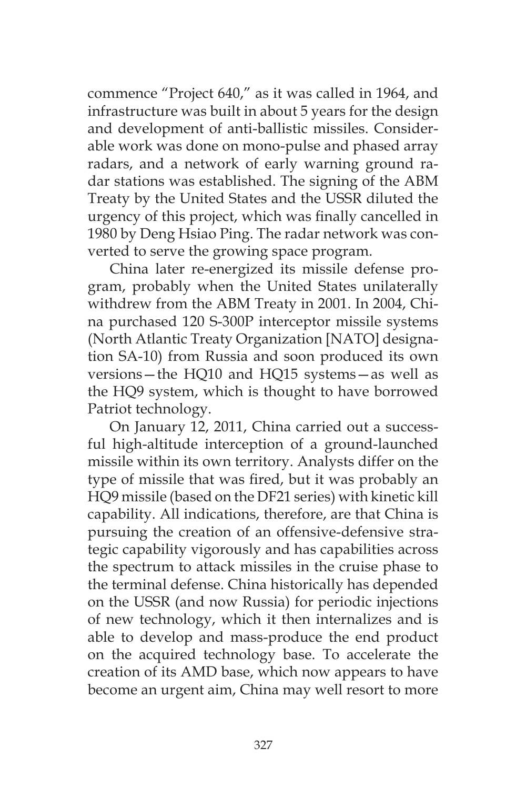commence "Project 640," as it was called in 1964, and infrastructure was built in about 5 years for the design and development of anti-ballistic missiles. Considerable work was done on mono-pulse and phased array radars, and a network of early warning ground radar stations was established. The signing of the ABM Treaty by the United States and the USSR diluted the urgency of this project, which was finally cancelled in 1980 by Deng Hsiao Ping. The radar network was converted to serve the growing space program.

China later re-energized its missile defense program, probably when the United States unilaterally withdrew from the ABM Treaty in 2001. In 2004, China purchased 120 S-300P interceptor missile systems (North Atlantic Treaty Organization [NATO] designation SA-10) from Russia and soon produced its own versions—the HQ10 and HQ15 systems—as well as the HQ9 system, which is thought to have borrowed Patriot technology.

On January 12, 2011, China carried out a successful high-altitude interception of a ground-launched missile within its own territory. Analysts differ on the type of missile that was fired, but it was probably an HQ9 missile (based on the DF21 series) with kinetic kill capability. All indications, therefore, are that China is pursuing the creation of an offensive-defensive strategic capability vigorously and has capabilities across the spectrum to attack missiles in the cruise phase to the terminal defense. China historically has depended on the USSR (and now Russia) for periodic injections of new technology, which it then internalizes and is able to develop and mass-produce the end product on the acquired technology base. To accelerate the creation of its AMD base, which now appears to have become an urgent aim, China may well resort to more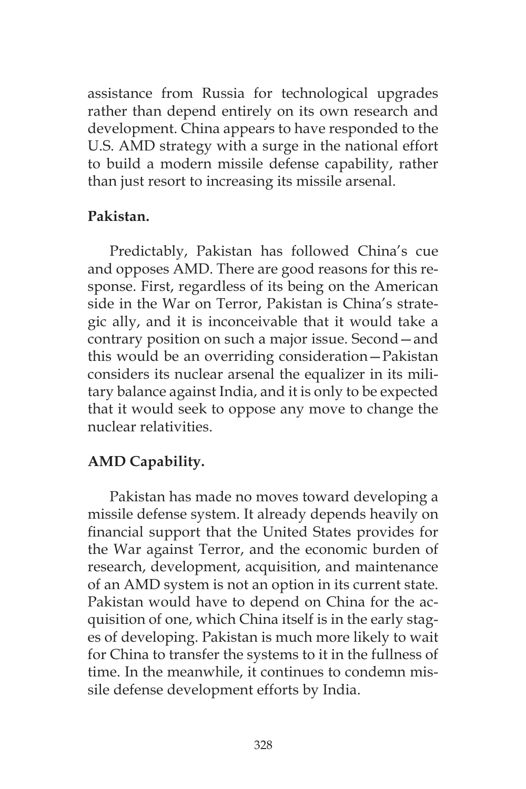assistance from Russia for technological upgrades rather than depend entirely on its own research and development. China appears to have responded to the U.S. AMD strategy with a surge in the national effort to build a modern missile defense capability, rather than just resort to increasing its missile arsenal.

#### **Pakistan.**

Predictably, Pakistan has followed China's cue and opposes AMD. There are good reasons for this response. First, regardless of its being on the American side in the War on Terror, Pakistan is China's strategic ally, and it is inconceivable that it would take a contrary position on such a major issue. Second—and this would be an overriding consideration—Pakistan considers its nuclear arsenal the equalizer in its military balance against India, and it is only to be expected that it would seek to oppose any move to change the nuclear relativities.

### **AMD Capability.**

Pakistan has made no moves toward developing a missile defense system. It already depends heavily on financial support that the United States provides for the War against Terror, and the economic burden of research, development, acquisition, and maintenance of an AMD system is not an option in its current state. Pakistan would have to depend on China for the acquisition of one, which China itself is in the early stages of developing. Pakistan is much more likely to wait for China to transfer the systems to it in the fullness of time. In the meanwhile, it continues to condemn missile defense development efforts by India.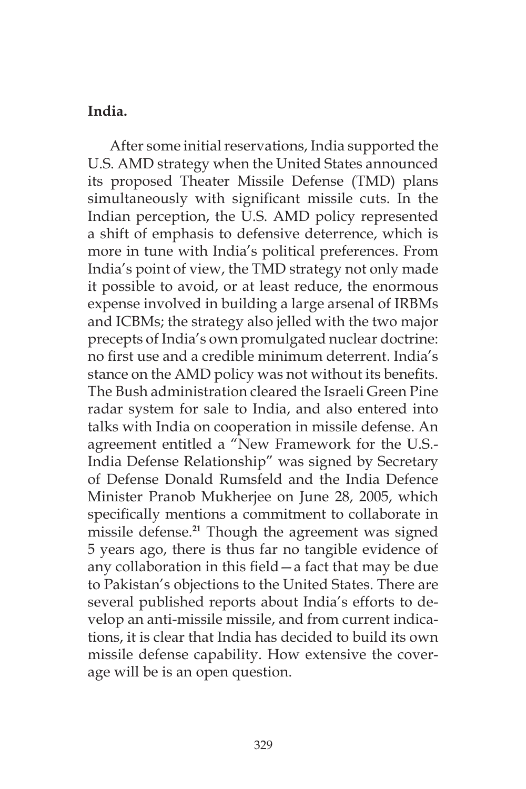#### **India.**

After some initial reservations, India supported the U.S. AMD strategy when the United States announced its proposed Theater Missile Defense (TMD) plans simultaneously with significant missile cuts. In the Indian perception, the U.S. AMD policy represented a shift of emphasis to defensive deterrence, which is more in tune with India's political preferences. From India's point of view, the TMD strategy not only made it possible to avoid, or at least reduce, the enormous expense involved in building a large arsenal of IRBMs and ICBMs; the strategy also jelled with the two major precepts of India's own promulgated nuclear doctrine: no first use and a credible minimum deterrent. India's stance on the AMD policy was not without its benefits. The Bush administration cleared the Israeli Green Pine radar system for sale to India, and also entered into talks with India on cooperation in missile defense. An agreement entitled a "New Framework for the U.S.- India Defense Relationship" was signed by Secretary of Defense Donald Rumsfeld and the India Defence Minister Pranob Mukherjee on June 28, 2005, which specifically mentions a commitment to collaborate in missile defense.**<sup>21</sup>** Though the agreement was signed 5 years ago, there is thus far no tangible evidence of any collaboration in this field—a fact that may be due to Pakistan's objections to the United States. There are several published reports about India's efforts to develop an anti-missile missile, and from current indications, it is clear that India has decided to build its own missile defense capability. How extensive the coverage will be is an open question.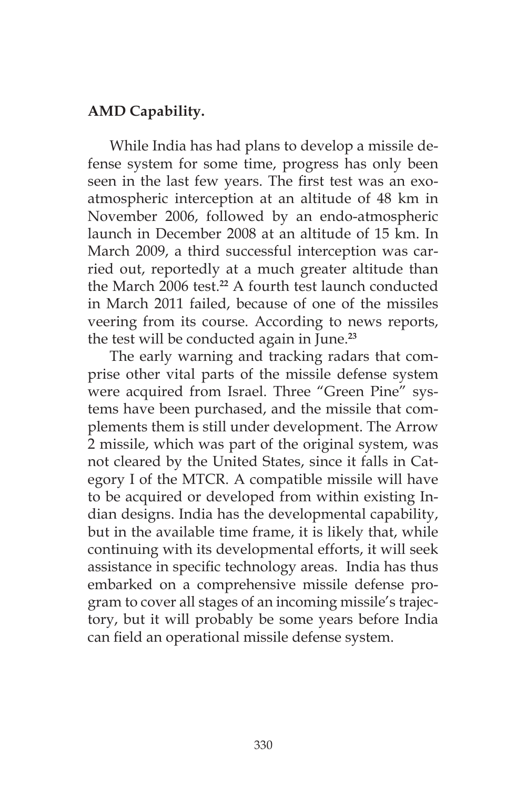### **AMD Capability.**

While India has had plans to develop a missile defense system for some time, progress has only been seen in the last few years. The first test was an exoatmospheric interception at an altitude of 48 km in November 2006, followed by an endo-atmospheric launch in December 2008 at an altitude of 15 km. In March 2009, a third successful interception was carried out, reportedly at a much greater altitude than the March 2006 test.**<sup>22</sup>** A fourth test launch conducted in March 2011 failed, because of one of the missiles veering from its course. According to news reports, the test will be conducted again in June.**<sup>23</sup>**

The early warning and tracking radars that comprise other vital parts of the missile defense system were acquired from Israel. Three "Green Pine" systems have been purchased, and the missile that complements them is still under development. The Arrow 2 missile, which was part of the original system, was not cleared by the United States, since it falls in Category I of the MTCR. A compatible missile will have to be acquired or developed from within existing Indian designs. India has the developmental capability, but in the available time frame, it is likely that, while continuing with its developmental efforts, it will seek assistance in specific technology areas. India has thus embarked on a comprehensive missile defense program to cover all stages of an incoming missile's trajectory, but it will probably be some years before India can field an operational missile defense system.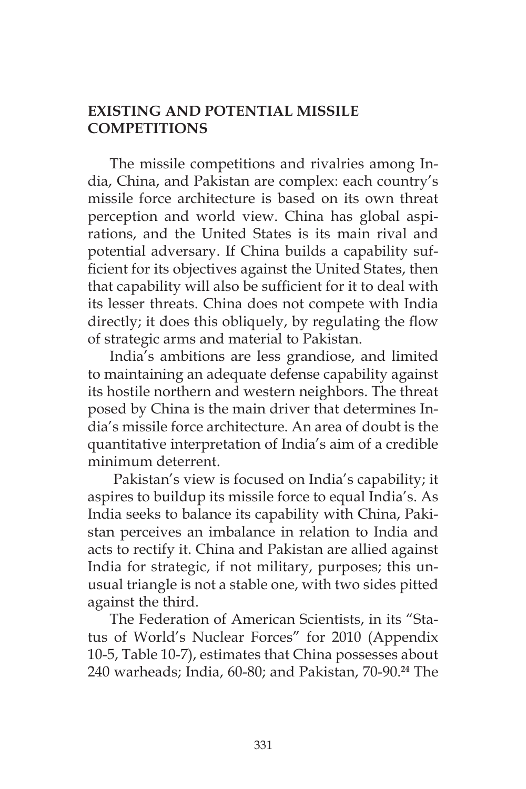### **EXISTING AND POTENTIAL MISSILE COMPETITIONS**

The missile competitions and rivalries among India, China, and Pakistan are complex: each country's missile force architecture is based on its own threat perception and world view. China has global aspirations, and the United States is its main rival and potential adversary. If China builds a capability sufficient for its objectives against the United States, then that capability will also be sufficient for it to deal with its lesser threats. China does not compete with India directly; it does this obliquely, by regulating the flow of strategic arms and material to Pakistan.

India's ambitions are less grandiose, and limited to maintaining an adequate defense capability against its hostile northern and western neighbors. The threat posed by China is the main driver that determines India's missile force architecture. An area of doubt is the quantitative interpretation of India's aim of a credible minimum deterrent.

 Pakistan's view is focused on India's capability; it aspires to buildup its missile force to equal India's. As India seeks to balance its capability with China, Pakistan perceives an imbalance in relation to India and acts to rectify it. China and Pakistan are allied against India for strategic, if not military, purposes; this unusual triangle is not a stable one, with two sides pitted against the third.

The Federation of American Scientists, in its "Status of World's Nuclear Forces" for 2010 (Appendix 10-5, Table 10-7), estimates that China possesses about 240 warheads; India, 60-80; and Pakistan, 70-90.**24** The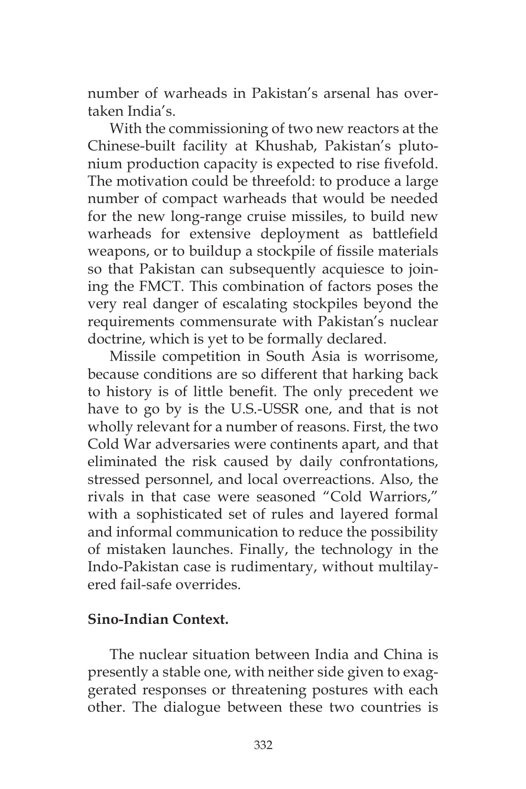number of warheads in Pakistan's arsenal has overtaken India's.

With the commissioning of two new reactors at the Chinese-built facility at Khushab, Pakistan's plutonium production capacity is expected to rise fivefold. The motivation could be threefold: to produce a large number of compact warheads that would be needed for the new long-range cruise missiles, to build new warheads for extensive deployment as battlefield weapons, or to buildup a stockpile of fissile materials so that Pakistan can subsequently acquiesce to joining the FMCT. This combination of factors poses the very real danger of escalating stockpiles beyond the requirements commensurate with Pakistan's nuclear doctrine, which is yet to be formally declared.

Missile competition in South Asia is worrisome, because conditions are so different that harking back to history is of little benefit. The only precedent we have to go by is the U.S.-USSR one, and that is not wholly relevant for a number of reasons. First, the two Cold War adversaries were continents apart, and that eliminated the risk caused by daily confrontations, stressed personnel, and local overreactions. Also, the rivals in that case were seasoned "Cold Warriors," with a sophisticated set of rules and layered formal and informal communication to reduce the possibility of mistaken launches. Finally, the technology in the Indo-Pakistan case is rudimentary, without multilayered fail-safe overrides.

#### **Sino-Indian Context.**

The nuclear situation between India and China is presently a stable one, with neither side given to exaggerated responses or threatening postures with each other. The dialogue between these two countries is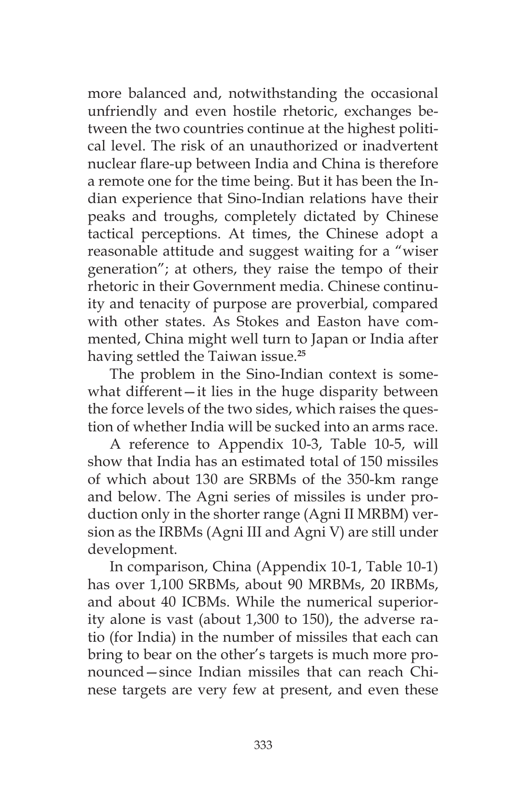more balanced and, notwithstanding the occasional unfriendly and even hostile rhetoric, exchanges between the two countries continue at the highest political level. The risk of an unauthorized or inadvertent nuclear flare-up between India and China is therefore a remote one for the time being. But it has been the Indian experience that Sino-Indian relations have their peaks and troughs, completely dictated by Chinese tactical perceptions. At times, the Chinese adopt a reasonable attitude and suggest waiting for a "wiser generation"; at others, they raise the tempo of their rhetoric in their Government media. Chinese continuity and tenacity of purpose are proverbial, compared with other states. As Stokes and Easton have commented, China might well turn to Japan or India after having settled the Taiwan issue.**<sup>25</sup>**

The problem in the Sino-Indian context is somewhat different—it lies in the huge disparity between the force levels of the two sides, which raises the question of whether India will be sucked into an arms race.

A reference to Appendix 10-3, Table 10-5, will show that India has an estimated total of 150 missiles of which about 130 are SRBMs of the 350-km range and below. The Agni series of missiles is under production only in the shorter range (Agni II MRBM) version as the IRBMs (Agni III and Agni V) are still under development.

In comparison, China (Appendix 10-1, Table 10-1) has over 1,100 SRBMs, about 90 MRBMs, 20 IRBMs, and about 40 ICBMs. While the numerical superiority alone is vast (about 1,300 to 150), the adverse ratio (for India) in the number of missiles that each can bring to bear on the other's targets is much more pronounced—since Indian missiles that can reach Chinese targets are very few at present, and even these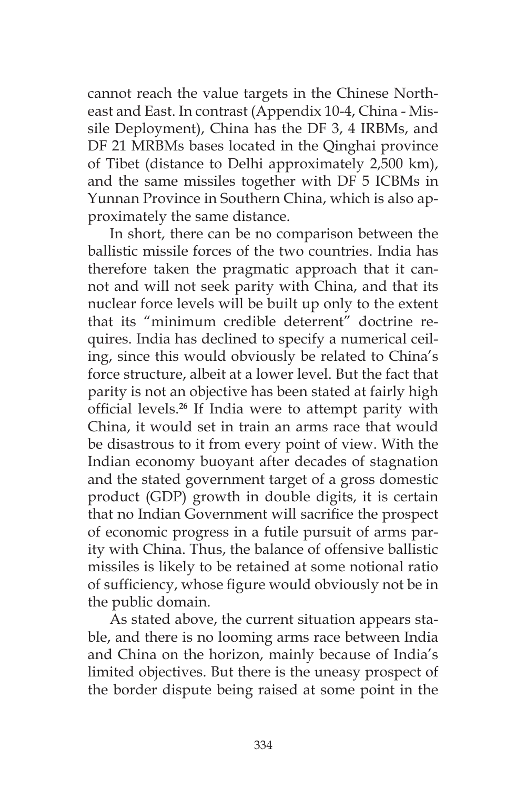cannot reach the value targets in the Chinese Northeast and East. In contrast (Appendix 10-4, China - Missile Deployment), China has the DF 3, 4 IRBMs, and DF 21 MRBMs bases located in the Qinghai province of Tibet (distance to Delhi approximately 2,500 km), and the same missiles together with DF 5 ICBMs in Yunnan Province in Southern China, which is also approximately the same distance.

In short, there can be no comparison between the ballistic missile forces of the two countries. India has therefore taken the pragmatic approach that it cannot and will not seek parity with China, and that its nuclear force levels will be built up only to the extent that its "minimum credible deterrent" doctrine requires. India has declined to specify a numerical ceiling, since this would obviously be related to China's force structure, albeit at a lower level. But the fact that parity is not an objective has been stated at fairly high official levels.**<sup>26</sup>** If India were to attempt parity with China, it would set in train an arms race that would be disastrous to it from every point of view. With the Indian economy buoyant after decades of stagnation and the stated government target of a gross domestic product (GDP) growth in double digits, it is certain that no Indian Government will sacrifice the prospect of economic progress in a futile pursuit of arms parity with China. Thus, the balance of offensive ballistic missiles is likely to be retained at some notional ratio of sufficiency, whose figure would obviously not be in the public domain.

As stated above, the current situation appears stable, and there is no looming arms race between India and China on the horizon, mainly because of India's limited objectives. But there is the uneasy prospect of the border dispute being raised at some point in the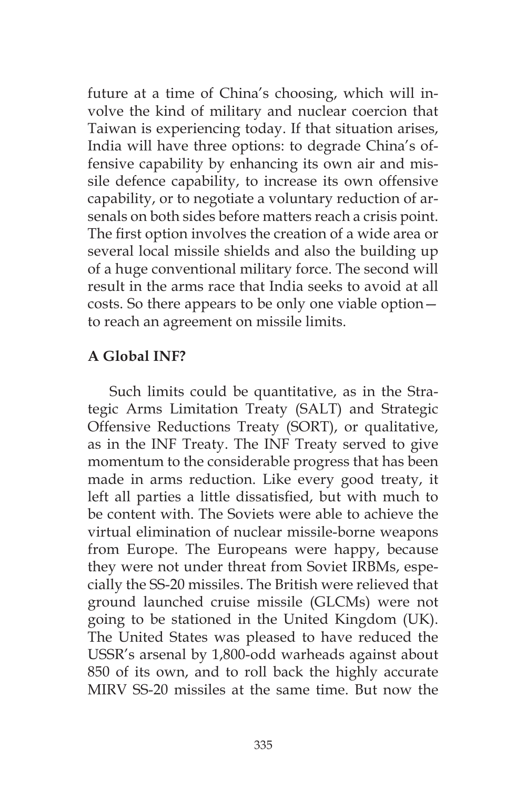future at a time of China's choosing, which will involve the kind of military and nuclear coercion that Taiwan is experiencing today. If that situation arises, India will have three options: to degrade China's offensive capability by enhancing its own air and missile defence capability, to increase its own offensive capability, or to negotiate a voluntary reduction of arsenals on both sides before matters reach a crisis point. The first option involves the creation of a wide area or several local missile shields and also the building up of a huge conventional military force. The second will result in the arms race that India seeks to avoid at all costs. So there appears to be only one viable option to reach an agreement on missile limits.

### **A Global INF?**

Such limits could be quantitative, as in the Strategic Arms Limitation Treaty (SALT) and Strategic Offensive Reductions Treaty (SORT), or qualitative, as in the INF Treaty. The INF Treaty served to give momentum to the considerable progress that has been made in arms reduction. Like every good treaty, it left all parties a little dissatisfied, but with much to be content with. The Soviets were able to achieve the virtual elimination of nuclear missile-borne weapons from Europe. The Europeans were happy, because they were not under threat from Soviet IRBMs, especially the SS-20 missiles. The British were relieved that ground launched cruise missile (GLCMs) were not going to be stationed in the United Kingdom (UK). The United States was pleased to have reduced the USSR's arsenal by 1,800-odd warheads against about 850 of its own, and to roll back the highly accurate MIRV SS-20 missiles at the same time. But now the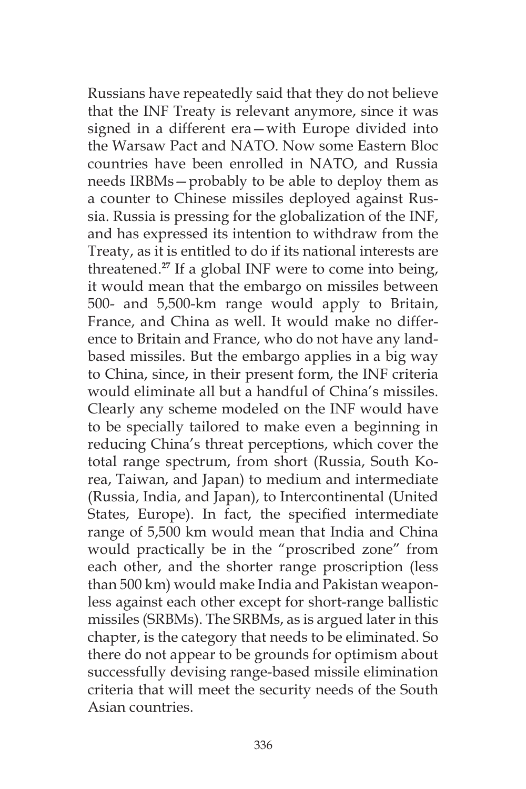Russians have repeatedly said that they do not believe that the INF Treaty is relevant anymore, since it was signed in a different era—with Europe divided into the Warsaw Pact and NATO. Now some Eastern Bloc countries have been enrolled in NATO, and Russia needs IRBMs—probably to be able to deploy them as a counter to Chinese missiles deployed against Russia. Russia is pressing for the globalization of the INF, and has expressed its intention to withdraw from the Treaty, as it is entitled to do if its national interests are threatened.**<sup>27</sup>** If a global INF were to come into being, it would mean that the embargo on missiles between 500- and 5,500-km range would apply to Britain, France, and China as well. It would make no difference to Britain and France, who do not have any landbased missiles. But the embargo applies in a big way to China, since, in their present form, the INF criteria would eliminate all but a handful of China's missiles. Clearly any scheme modeled on the INF would have to be specially tailored to make even a beginning in reducing China's threat perceptions, which cover the total range spectrum, from short (Russia, South Korea, Taiwan, and Japan) to medium and intermediate (Russia, India, and Japan), to Intercontinental (United States, Europe). In fact, the specified intermediate range of 5,500 km would mean that India and China would practically be in the "proscribed zone" from each other, and the shorter range proscription (less than 500 km) would make India and Pakistan weaponless against each other except for short-range ballistic missiles (SRBMs). The SRBMs, as is argued later in this chapter, is the category that needs to be eliminated. So there do not appear to be grounds for optimism about successfully devising range-based missile elimination criteria that will meet the security needs of the South Asian countries.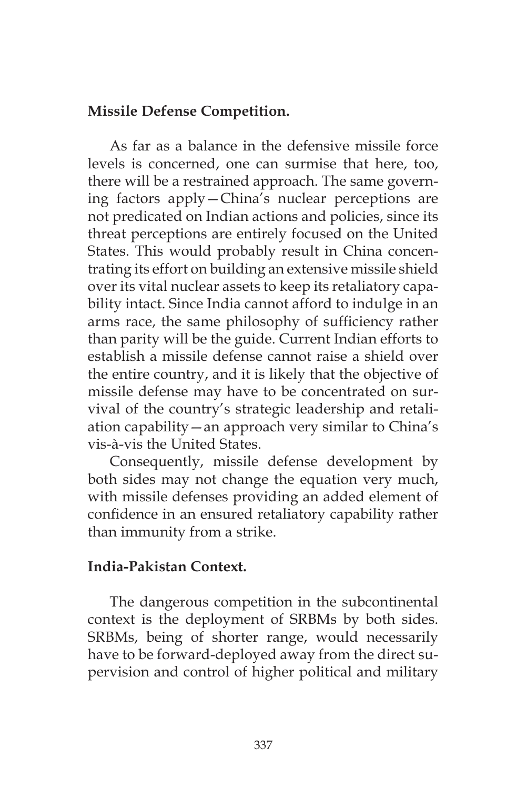#### **Missile Defense Competition.**

As far as a balance in the defensive missile force levels is concerned, one can surmise that here, too, there will be a restrained approach. The same governing factors apply—China's nuclear perceptions are not predicated on Indian actions and policies, since its threat perceptions are entirely focused on the United States. This would probably result in China concentrating its effort on building an extensive missile shield over its vital nuclear assets to keep its retaliatory capability intact. Since India cannot afford to indulge in an arms race, the same philosophy of sufficiency rather than parity will be the guide. Current Indian efforts to establish a missile defense cannot raise a shield over the entire country, and it is likely that the objective of missile defense may have to be concentrated on survival of the country's strategic leadership and retaliation capability—an approach very similar to China's vis-à-vis the United States.

Consequently, missile defense development by both sides may not change the equation very much, with missile defenses providing an added element of confidence in an ensured retaliatory capability rather than immunity from a strike.

#### **India-Pakistan Context.**

The dangerous competition in the subcontinental context is the deployment of SRBMs by both sides. SRBMs, being of shorter range, would necessarily have to be forward-deployed away from the direct supervision and control of higher political and military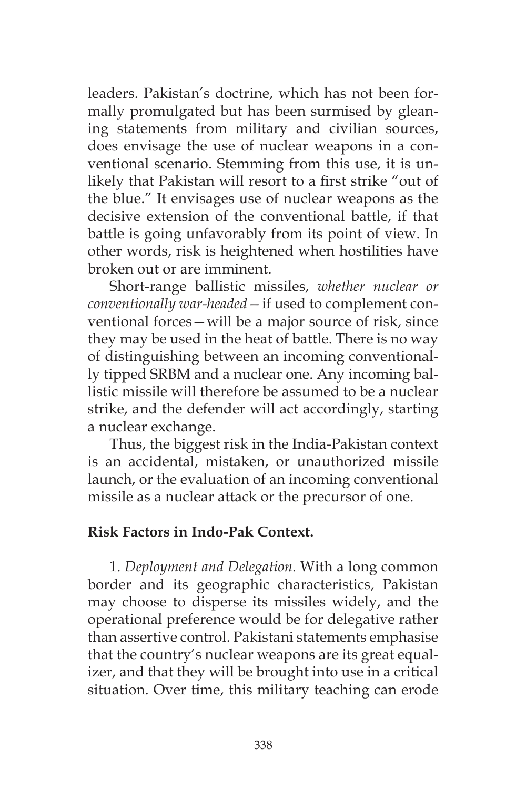leaders. Pakistan's doctrine, which has not been formally promulgated but has been surmised by gleaning statements from military and civilian sources, does envisage the use of nuclear weapons in a conventional scenario. Stemming from this use, it is unlikely that Pakistan will resort to a first strike "out of the blue." It envisages use of nuclear weapons as the decisive extension of the conventional battle, if that battle is going unfavorably from its point of view. In other words, risk is heightened when hostilities have broken out or are imminent.

Short-range ballistic missiles, *whether nuclear or conventionally war-headed—*if used to complement conventional forces—will be a major source of risk, since they may be used in the heat of battle. There is no way of distinguishing between an incoming conventionally tipped SRBM and a nuclear one. Any incoming ballistic missile will therefore be assumed to be a nuclear strike, and the defender will act accordingly, starting a nuclear exchange.

Thus, the biggest risk in the India-Pakistan context is an accidental, mistaken, or unauthorized missile launch, or the evaluation of an incoming conventional missile as a nuclear attack or the precursor of one.

#### **Risk Factors in Indo-Pak Context.**

1. *Deployment and Delegation.* With a long common border and its geographic characteristics, Pakistan may choose to disperse its missiles widely, and the operational preference would be for delegative rather than assertive control. Pakistani statements emphasise that the country's nuclear weapons are its great equalizer, and that they will be brought into use in a critical situation. Over time, this military teaching can erode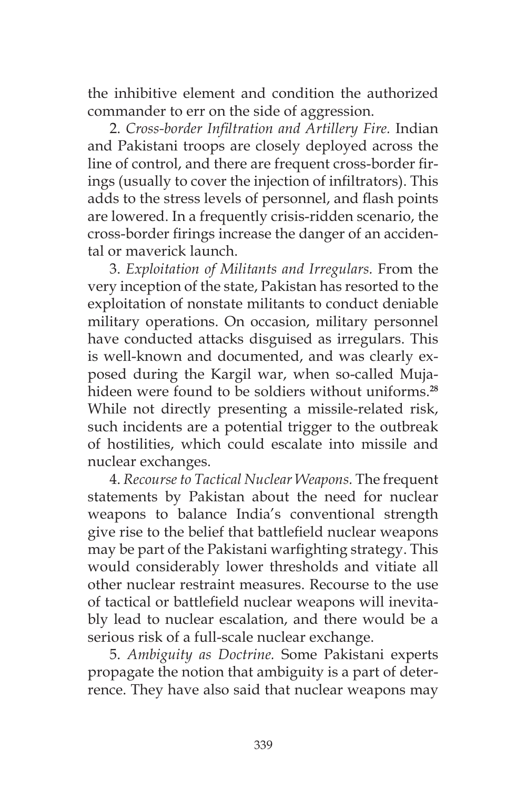the inhibitive element and condition the authorized commander to err on the side of aggression.

2. *Cross-border Infiltration and Artillery Fire.* Indian and Pakistani troops are closely deployed across the line of control, and there are frequent cross-border firings (usually to cover the injection of infiltrators). This adds to the stress levels of personnel, and flash points are lowered. In a frequently crisis-ridden scenario, the cross-border firings increase the danger of an accidental or maverick launch.

3. *Exploitation of Militants and Irregulars.* From the very inception of the state, Pakistan has resorted to the exploitation of nonstate militants to conduct deniable military operations. On occasion, military personnel have conducted attacks disguised as irregulars. This is well-known and documented, and was clearly exposed during the Kargil war, when so-called Mujahideen were found to be soldiers without uniforms.**<sup>28</sup>** While not directly presenting a missile-related risk, such incidents are a potential trigger to the outbreak of hostilities, which could escalate into missile and nuclear exchanges.

4. *Recourse to Tactical Nuclear Weapons.* The frequent statements by Pakistan about the need for nuclear weapons to balance India's conventional strength give rise to the belief that battlefield nuclear weapons may be part of the Pakistani warfighting strategy. This would considerably lower thresholds and vitiate all other nuclear restraint measures. Recourse to the use of tactical or battlefield nuclear weapons will inevitably lead to nuclear escalation, and there would be a serious risk of a full-scale nuclear exchange.

5. *Ambiguity as Doctrine.* Some Pakistani experts propagate the notion that ambiguity is a part of deterrence. They have also said that nuclear weapons may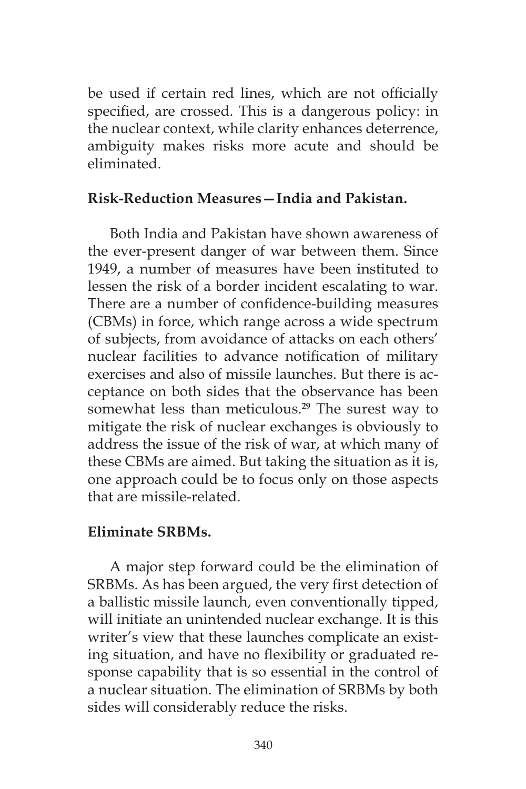be used if certain red lines, which are not officially specified, are crossed. This is a dangerous policy: in the nuclear context, while clarity enhances deterrence, ambiguity makes risks more acute and should be eliminated.

### **Risk-Reduction Measures—India and Pakistan.**

Both India and Pakistan have shown awareness of the ever-present danger of war between them. Since 1949, a number of measures have been instituted to lessen the risk of a border incident escalating to war. There are a number of confidence-building measures (CBMs) in force, which range across a wide spectrum of subjects, from avoidance of attacks on each others' nuclear facilities to advance notification of military exercises and also of missile launches. But there is acceptance on both sides that the observance has been somewhat less than meticulous.**<sup>29</sup>** The surest way to mitigate the risk of nuclear exchanges is obviously to address the issue of the risk of war, at which many of these CBMs are aimed. But taking the situation as it is, one approach could be to focus only on those aspects that are missile-related.

### **Eliminate SRBMs.**

A major step forward could be the elimination of SRBMs. As has been argued, the very first detection of a ballistic missile launch, even conventionally tipped, will initiate an unintended nuclear exchange. It is this writer's view that these launches complicate an existing situation, and have no flexibility or graduated response capability that is so essential in the control of a nuclear situation. The elimination of SRBMs by both sides will considerably reduce the risks.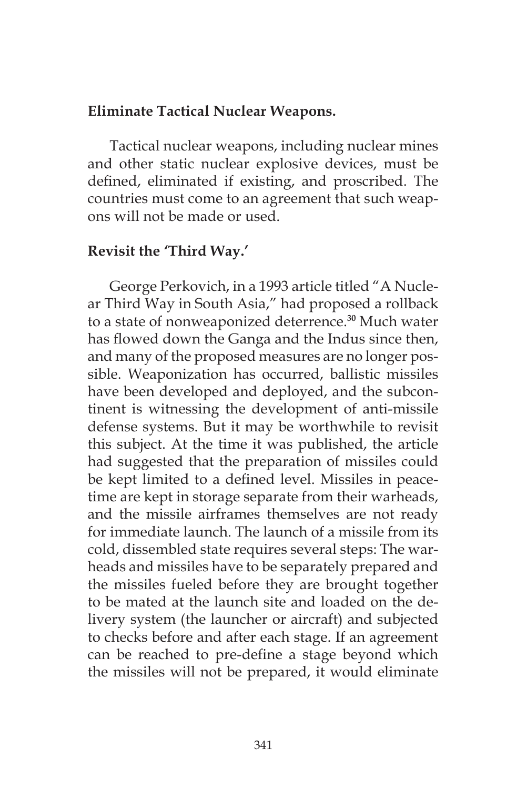#### **Eliminate Tactical Nuclear Weapons.**

Tactical nuclear weapons, including nuclear mines and other static nuclear explosive devices, must be defined, eliminated if existing, and proscribed. The countries must come to an agreement that such weapons will not be made or used.

#### **Revisit the 'Third Way.'**

George Perkovich, in a 1993 article titled "A Nuclear Third Way in South Asia," had proposed a rollback to a state of nonweaponized deterrence.**<sup>30</sup>** Much water has flowed down the Ganga and the Indus since then, and many of the proposed measures are no longer possible. Weaponization has occurred, ballistic missiles have been developed and deployed, and the subcontinent is witnessing the development of anti-missile defense systems. But it may be worthwhile to revisit this subject. At the time it was published, the article had suggested that the preparation of missiles could be kept limited to a defined level. Missiles in peacetime are kept in storage separate from their warheads, and the missile airframes themselves are not ready for immediate launch. The launch of a missile from its cold, dissembled state requires several steps: The warheads and missiles have to be separately prepared and the missiles fueled before they are brought together to be mated at the launch site and loaded on the delivery system (the launcher or aircraft) and subjected to checks before and after each stage. If an agreement can be reached to pre-define a stage beyond which the missiles will not be prepared, it would eliminate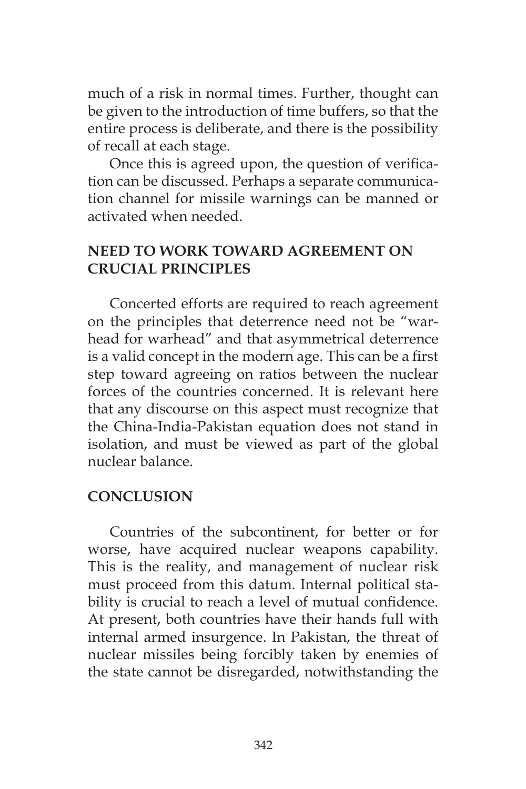much of a risk in normal times. Further, thought can be given to the introduction of time buffers, so that the entire process is deliberate, and there is the possibility of recall at each stage.

Once this is agreed upon, the question of verification can be discussed. Perhaps a separate communication channel for missile warnings can be manned or activated when needed.

## **NEED TO WORK TOWARD AGREEMENT ON CRUCIAL PRINCIPLES**

Concerted efforts are required to reach agreement on the principles that deterrence need not be "warhead for warhead" and that asymmetrical deterrence is a valid concept in the modern age. This can be a first step toward agreeing on ratios between the nuclear forces of the countries concerned. It is relevant here that any discourse on this aspect must recognize that the China-India-Pakistan equation does not stand in isolation, and must be viewed as part of the global nuclear balance.

#### **CONCLUSION**

Countries of the subcontinent, for better or for worse, have acquired nuclear weapons capability. This is the reality, and management of nuclear risk must proceed from this datum. Internal political stability is crucial to reach a level of mutual confidence. At present, both countries have their hands full with internal armed insurgence. In Pakistan, the threat of nuclear missiles being forcibly taken by enemies of the state cannot be disregarded, notwithstanding the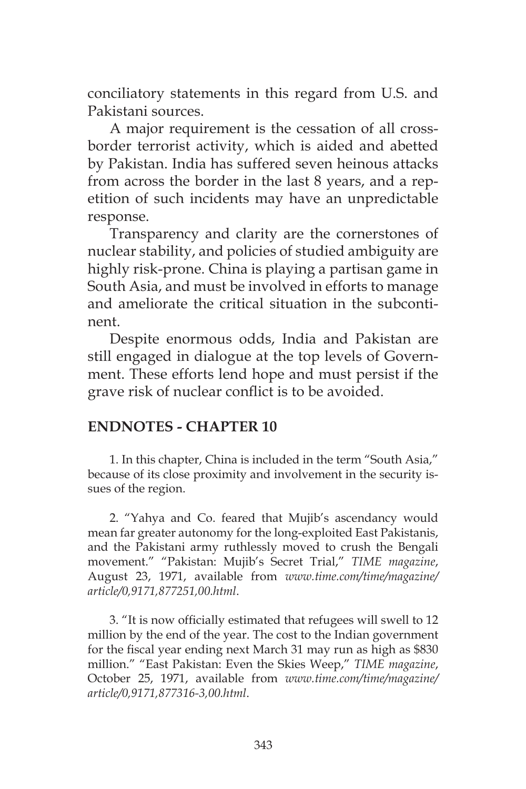conciliatory statements in this regard from U.S. and Pakistani sources.

A major requirement is the cessation of all crossborder terrorist activity, which is aided and abetted by Pakistan. India has suffered seven heinous attacks from across the border in the last 8 years, and a repetition of such incidents may have an unpredictable response.

Transparency and clarity are the cornerstones of nuclear stability, and policies of studied ambiguity are highly risk-prone. China is playing a partisan game in South Asia, and must be involved in efforts to manage and ameliorate the critical situation in the subcontinent.

Despite enormous odds, India and Pakistan are still engaged in dialogue at the top levels of Government. These efforts lend hope and must persist if the grave risk of nuclear conflict is to be avoided.

#### **ENDNOTES - CHAPTER 10**

1. In this chapter, China is included in the term "South Asia," because of its close proximity and involvement in the security issues of the region.

2. "Yahya and Co. feared that Mujib's ascendancy would mean far greater autonomy for the long-exploited East Pakistanis, and the Pakistani army ruthlessly moved to crush the Bengali movement." "Pakistan: Mujib's Secret Trial," *TIME magazine*, August 23, 1971, available from *www.time.com/time/magazine/ article/0,9171,877251,00.html*.

3. "It is now officially estimated that refugees will swell to 12 million by the end of the year. The cost to the Indian government for the fiscal year ending next March 31 may run as high as \$830 million." "East Pakistan: Even the Skies Weep," *TIME magazine*, October 25, 1971, available from *www.time.com/time/magazine/ article/0,9171,877316-3,00.html*.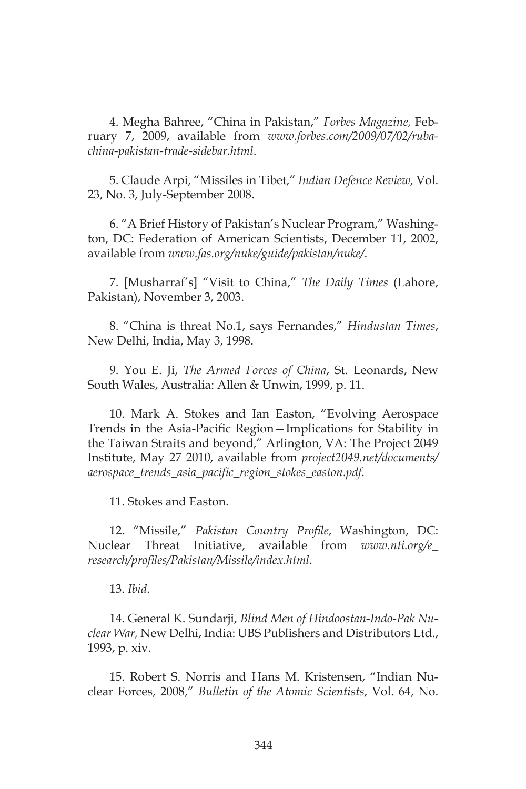4. Megha Bahree, "China in Pakistan," *Forbes Magazine,* February 7, 2009, available from *www.forbes.com/2009/07/02/rubachina-pakistan-trade-sidebar.html*.

5. Claude Arpi, "Missiles in Tibet," *Indian Defence Review,* Vol. 23, No. 3, July-September 2008.

6. "A Brief History of Pakistan's Nuclear Program," Washington, DC: Federation of American Scientists, December 11, 2002, available from *www.fas.org/nuke/guide/pakistan/nuke/*.

7. [Musharraf's] "Visit to China," *The Daily Times* (Lahore, Pakistan), November 3, 2003.

8. "China is threat No.1, says Fernandes," *Hindustan Times*, New Delhi, India, May 3, 1998.

9. You E. Ji, *The Armed Forces of China*, St. Leonards, New South Wales, Australia: Allen & Unwin, 1999, p. 11.

10. Mark A. Stokes and Ian Easton, "Evolving Aerospace Trends in the Asia-Pacific Region—Implications for Stability in the Taiwan Straits and beyond," Arlington, VA: The Project 2049 Institute, May 27 2010, available from *project2049.net/documents/ aerospace\_trends\_asia\_pacific\_region\_stokes\_easton.pdf*.

11. Stokes and Easton.

12. "Missile," *Pakistan Country Profile*, Washington, DC: Nuclear Threat Initiative, available from *www.nti.org/e\_ research/profiles/Pakistan/Missile/index.html*.

13. *Ibid*.

14. General K. Sundarji, *Blind Men of Hindoostan-Indo-Pak Nuclear War,* New Delhi, India: UBS Publishers and Distributors Ltd., 1993, p. xiv.

15. Robert S. Norris and Hans M. Kristensen, "Indian Nuclear Forces, 2008," *Bulletin of the Atomic Scientists*, Vol. 64, No.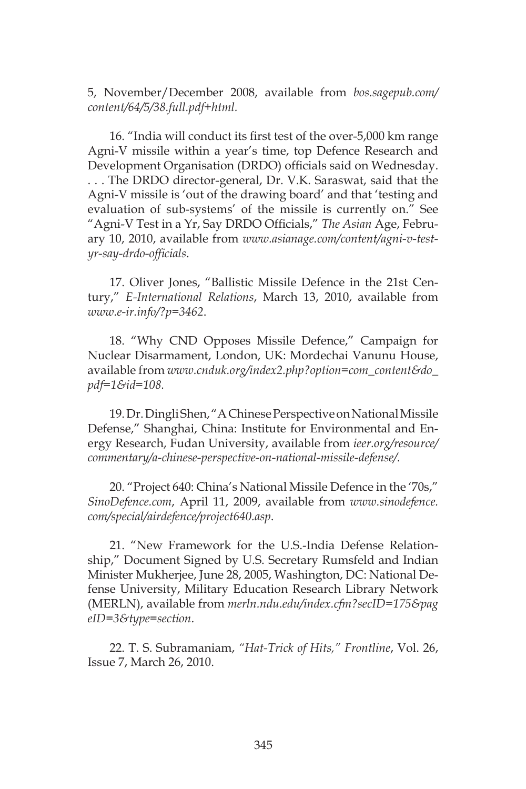5, November/December 2008, available from *bos.sagepub.com/ content/64/5/38.full.pdf+html.*

16. "India will conduct its first test of the over-5,000 km range Agni-V missile within a year's time, top Defence Research and Development Organisation (DRDO) officials said on Wednesday. . . . The DRDO director-general, Dr. V.K. Saraswat, said that the Agni-V missile is 'out of the drawing board' and that 'testing and evaluation of sub-systems' of the missile is currently on." See "Agni-V Test in a Yr, Say DRDO Officials," *The Asian* Age, February 10, 2010, available from *www.asianage.com/content/agni-v-testyr-say-drdo-officials*.

17. Oliver Jones, "Ballistic Missile Defence in the 21st Century," *E-International Relations*, March 13, 2010, available from *www.e-ir.info/?p=3462*.

18. "Why CND Opposes Missile Defence," Campaign for Nuclear Disarmament, London, UK: Mordechai Vanunu House, available from *www.cnduk.org/index2.php?option=com\_content&do\_ pdf=1&id=108.*

19. Dr. Dingli Shen, "A Chinese Perspective on National Missile Defense," Shanghai, China: Institute for Environmental and Energy Research, Fudan University, available from *ieer.org/resource/ commentary/a-chinese-perspective-on-national-missile-defense/.*

20. "Project 640: China's National Missile Defence in the '70s," *SinoDefence.com*, April 11, 2009, available from *www.sinodefence. com/special/airdefence/project640.asp*.

21. "New Framework for the U.S.-India Defense Relationship," Document Signed by U.S. Secretary Rumsfeld and Indian Minister Mukherjee, June 28, 2005, Washington, DC: National Defense University, Military Education Research Library Network (MERLN), available from *merln.ndu.edu/index.cfm?secID=175&pag eID=3&type=section*.

22. T. S. Subramaniam, *"Hat-Trick of Hits," Frontline*, Vol. 26, Issue 7, March 26, 2010.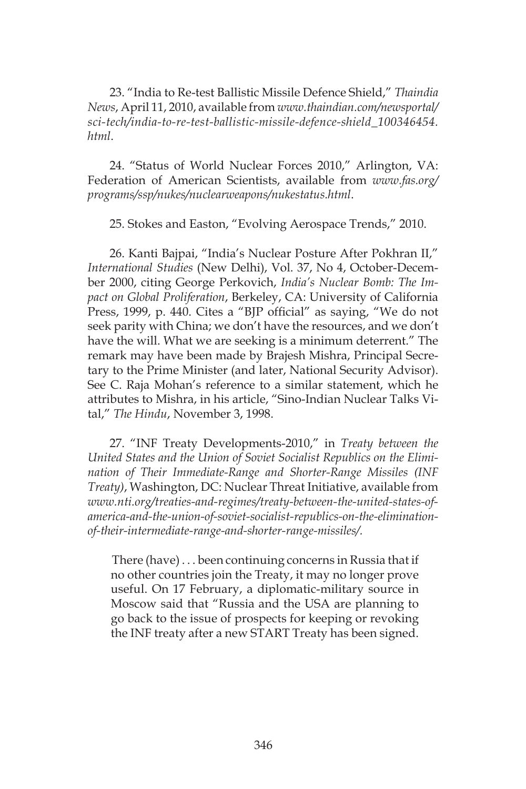23. "India to Re-test Ballistic Missile Defence Shield," *Thaindia News*, April 11, 2010, available from *www.thaindian.com/newsportal/ sci-tech/india-to-re-test-ballistic-missile-defence-shield\_100346454. html*.

24. "Status of World Nuclear Forces 2010," Arlington, VA: Federation of American Scientists, available from *www.fas.org/ programs/ssp/nukes/nuclearweapons/nukestatus.html*.

25. Stokes and Easton, "Evolving Aerospace Trends," 2010.

26. Kanti Bajpai, "India's Nuclear Posture After Pokhran II," *International Studies* (New Delhi), Vol. 37, No 4, October-December 2000, citing George Perkovich, *India's Nuclear Bomb: The Impact on Global Proliferation*, Berkeley, CA: University of California Press, 1999, p. 440. Cites a "BJP official" as saying, "We do not seek parity with China; we don't have the resources, and we don't have the will. What we are seeking is a minimum deterrent." The remark may have been made by Brajesh Mishra, Principal Secretary to the Prime Minister (and later, National Security Advisor). See C. Raja Mohan's reference to a similar statement, which he attributes to Mishra, in his article, "Sino-Indian Nuclear Talks Vital," *The Hindu*, November 3, 1998.

27. "INF Treaty Developments-2010," in *Treaty between the United States and the Union of Soviet Socialist Republics on the Elimination of Their Immediate-Range and Shorter-Range Missiles (INF Treaty)*, Washington, DC: Nuclear Threat Initiative, available from *www.nti.org/treaties-and-regimes/treaty-between-the-united-states-ofamerica-and-the-union-of-soviet-socialist-republics-on-the-eliminationof-their-intermediate-range-and-shorter-range-missiles/.*

There (have) . . . been continuing concerns in Russia that if no other countries join the Treaty, it may no longer prove useful. On 17 February, a diplomatic-military source in Moscow said that "Russia and the USA are planning to go back to the issue of prospects for keeping or revoking the INF treaty after a new START Treaty has been signed.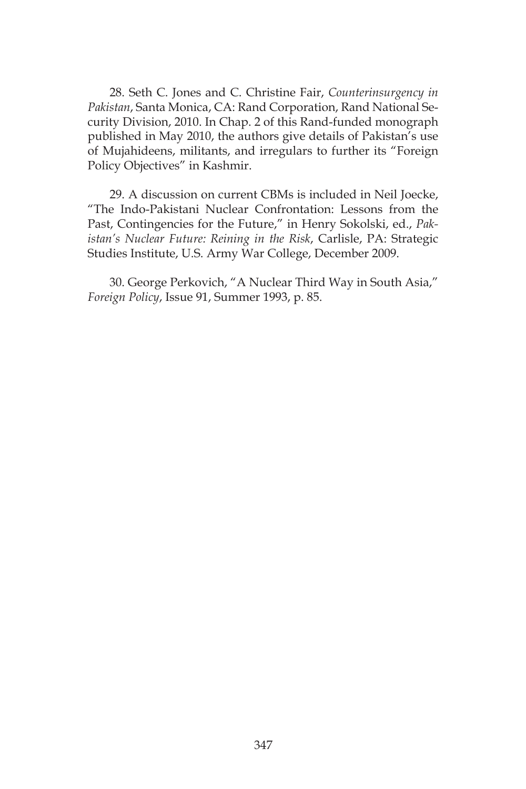28. Seth C. Jones and C. Christine Fair, *Counterinsurgency in Pakistan*, Santa Monica, CA: Rand Corporation, Rand National Security Division, 2010. In Chap. 2 of this Rand-funded monograph published in May 2010, the authors give details of Pakistan's use of Mujahideens, militants, and irregulars to further its "Foreign Policy Objectives" in Kashmir.

29. A discussion on current CBMs is included in Neil Joecke, "The Indo-Pakistani Nuclear Confrontation: Lessons from the Past, Contingencies for the Future," in Henry Sokolski, ed., *Pakistan's Nuclear Future: Reining in the Risk*, Carlisle, PA: Strategic Studies Institute, U.S. Army War College, December 2009.

30. George Perkovich, "A Nuclear Third Way in South Asia," *Foreign Policy*, Issue 91, Summer 1993, p. 85.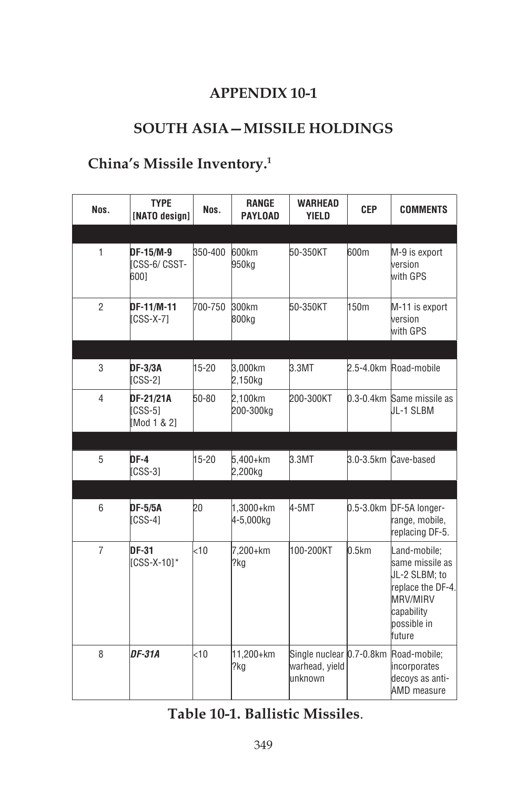### **APPENDIX 10-1**

# **SOUTH ASIA—MISSILE HOLDINGS**

# **China's Missile Inventory.1**

| Nos.           | <b>TYPE</b><br>[NATO design]             | Nos.      | <b>RANGE</b><br><b>PAYLOAD</b> | <b>WARHEAD</b><br><b>YIELD</b>                        | <b>CEP</b> | <b>COMMENTS</b>                                                                                                                 |
|----------------|------------------------------------------|-----------|--------------------------------|-------------------------------------------------------|------------|---------------------------------------------------------------------------------------------------------------------------------|
|                |                                          |           |                                |                                                       |            |                                                                                                                                 |
| $\mathbf{1}$   | DF-15/M-9<br><b>ICSS-6/CSST-</b><br>600] | 350-400   | 600km<br>950kg                 | 50-350KT                                              | 600m       | M-9 is export<br>version<br>with GPS                                                                                            |
| $\overline{2}$ | DF-11/M-11<br>[CSS-X-7]                  | 700-750   | 300km<br>800kg                 | 50-350KT                                              | 150m       | M-11 is export<br>version<br>with GPS                                                                                           |
|                |                                          |           |                                |                                                       |            |                                                                                                                                 |
| 3              | <b>DF-3/3A</b><br>[CSS-2]                | $15 - 20$ | 3,000km<br>2.150kg             | 3.3MT                                                 |            | 2.5-4.0km Road-mobile                                                                                                           |
| $\overline{4}$ | DF-21/21A<br>[CSS-5]<br>[Mod 1 & 2]      | 50-80     | 2,100km<br>200-300kg           | 200-300KT                                             |            | 0.3-0.4km Same missile as<br><b>JL-1 SLBM</b>                                                                                   |
|                |                                          |           |                                |                                                       |            |                                                                                                                                 |
| 5              | DF-4<br>[CSS-3]                          | $15 - 20$ | 5,400+km<br>2,200kg            | 3.3MT                                                 |            | 3.0-3.5km Cave-based                                                                                                            |
|                |                                          |           |                                |                                                       |            |                                                                                                                                 |
| 6              | <b>DF-5/5A</b><br>$[CSS-4]$              | 20        | $1,3000+km$<br>4-5,000kg       | $4 - 5MT$                                             |            | 0.5-3.0km DF-5A longer-<br>range, mobile,<br>replacing DF-5.                                                                    |
| $\overline{7}$ | DF-31<br><b>ICSS-X-101*</b>              | <10       | 7,200+km<br>?kg                | 100-200KT                                             | 0.5km      | Land-mobile;<br>same missile as<br>JL-2 SLBM; to<br>replace the DF-4.<br><b>MRV/MIRV</b><br>capability<br>possible in<br>future |
| 8              | <b>DF-31A</b>                            | <10       | 11,200+km<br>?kg               | Single nuclear 0.7-0.8km<br>warhead, yield<br>unknown |            | Road-mobile;<br>incorporates<br>decoys as anti-<br><b>AMD</b> measure                                                           |

**Table 10-1. Ballistic Missiles**.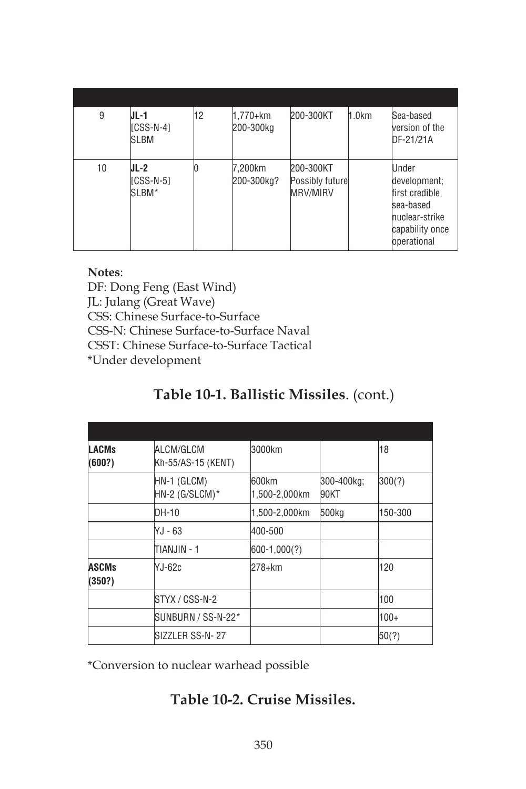| 9  | UL-1<br>ICSS-N-41<br><b>SLBM</b> | 12 | $1,770+km$<br>200-300kg | 200-300KT                                | 1.0km | Sea-based<br>version of the<br>DF-21/21A                                                                 |
|----|----------------------------------|----|-------------------------|------------------------------------------|-------|----------------------------------------------------------------------------------------------------------|
| 10 | JL-2<br>[CSS-N-5]<br>SLBM*       |    | 7,200km<br>200-300kg?   | 200-300KT<br>Possibly future<br>MRV/MIRV |       | Under<br>development;<br>first credible<br>sea-based<br>huclear-strike<br>capability once<br>operational |

#### **Notes**:

DF: Dong Feng (East Wind) JL: Julang (Great Wave) CSS: Chinese Surface-to-Surface CSS-N: Chinese Surface-to-Surface Naval CSST: Chinese Surface-to-Surface Tactical \*Under development

## **Table 10-1. Ballistic Missiles**. (cont.)

| <b>LACMs</b><br>(600?) | ALCM/GLCM<br>Kh-55/AS-15 (KENT) | 3000km                  |                    | 18      |
|------------------------|---------------------------------|-------------------------|--------------------|---------|
|                        | HN-1 (GLCM)<br>HN-2 (G/SLCM)*   | l600km<br>1,500-2,000km | 300-400kg;<br>90KT | 300(?)  |
|                        | DH-10                           | 1,500-2,000km           | 500kg              | 150-300 |
|                        | YJ - 63                         | 400-500                 |                    |         |
|                        | ITIANJIN - 1                    | $ 600-1,000(?) $        |                    |         |
| <b>ASCMs</b><br>(350?) | YJ-62c                          | l278+km                 |                    | 120     |
|                        | STYX / CSS-N-2                  |                         |                    | 100     |
|                        | SUNBURN / SS-N-22*              |                         |                    | $100+$  |
|                        | SIZZLER SS-N-27                 |                         |                    | 50(?)   |

\*Conversion to nuclear warhead possible

## **Table 10-2. Cruise Missiles.**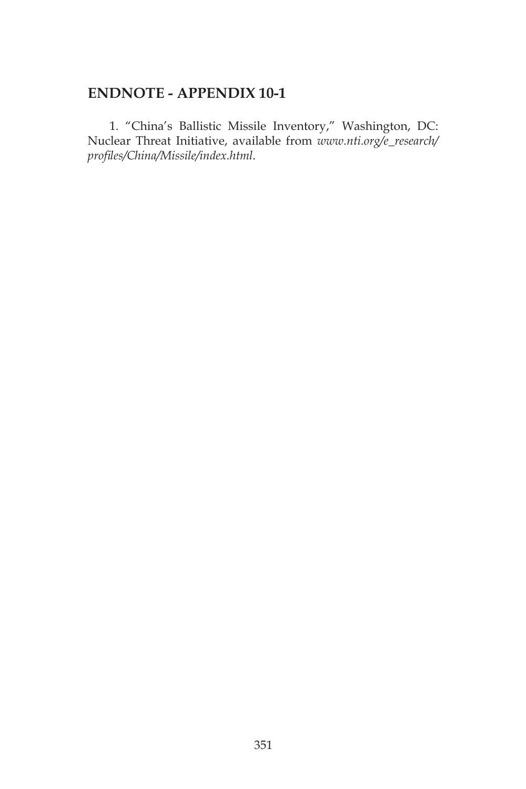## **ENDNOTE - APPENDIX 10-1**

1. "China's Ballistic Missile Inventory," Washington, DC: Nuclear Threat Initiative, available from *www.nti.org/e\_research/ profiles/China/Missile/index.html*.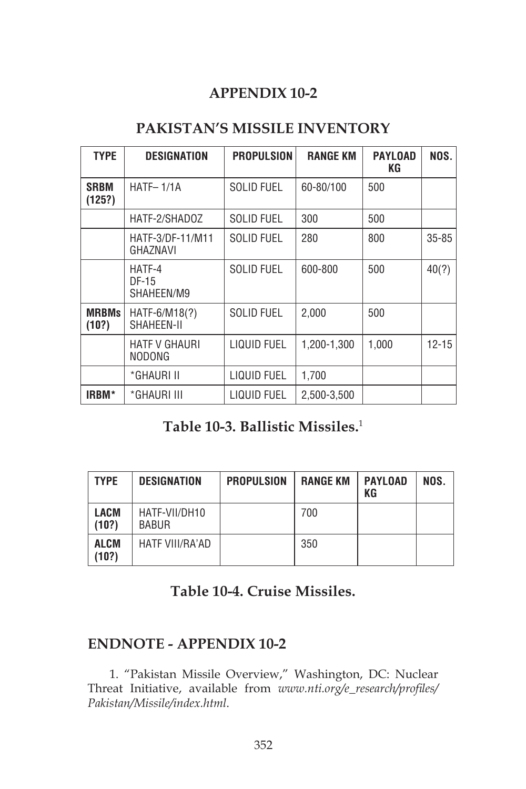### **APPENDIX 10-2**

#### **PAKISTAN'S MISSILE INVENTORY**

| <b>TYPE</b>           | <b>DESIGNATION</b>             | <b>PROPULSION</b>  | <b>RANGE KM</b> | <b>PAYLOAD</b><br>KG | NOS.      |
|-----------------------|--------------------------------|--------------------|-----------------|----------------------|-----------|
| <b>SRBM</b><br>(125?) | <b>HATF-1/1A</b>               | <b>SOLID FUEL</b>  | 60-80/100       | 500                  |           |
|                       | HATF-2/SHADOZ                  | <b>SOLID FUEL</b>  | 300             | 500                  |           |
|                       | HATF-3/DF-11/M11<br>GHAZNAVI   | <b>SOLID FUEL</b>  | 280             | 800                  | $35 - 85$ |
|                       | HATF-4<br>DF-15<br>SHAHEEN/M9  | <b>SOLID FUEL</b>  | 600-800         | 500                  | 40(?)     |
| <b>MRBMs</b><br>(10?) | HATF-6/M18(?)<br>SHAHEEN-II    | <b>SOLID FUEL</b>  | 2,000           | 500                  |           |
|                       | <b>HATF V GHAURI</b><br>NODONG | <b>LIQUID FUEL</b> | 1,200-1,300     | 1,000                | $12 - 15$ |
|                       | *GHAURI II                     | <b>LIQUID FUEL</b> | 1.700           |                      |           |
| IRBM*                 | *GHAURI III                    | <b>LIQUID FUEL</b> | 2,500-3,500     |                      |           |

## **Table 10-3. Ballistic Missiles.**<sup>1</sup>

| <b>TYPE</b>          | <b>DESIGNATION</b>            | <b>PROPULSION</b> | <b>RANGE KM</b> | <b>PAYLOAD</b><br>KG | NOS. |
|----------------------|-------------------------------|-------------------|-----------------|----------------------|------|
| <b>LACM</b><br>(10?) | HATF-VII/DH10<br><b>BABUR</b> |                   | 700             |                      |      |
| <b>ALCM</b><br>(10?) | HATF VIII/RA'AD               |                   | 350             |                      |      |

# **Table 10-4. Cruise Missiles.**

#### **ENDNOTE - APPENDIX 10-2**

1. "Pakistan Missile Overview," Washington, DC: Nuclear Threat Initiative, available from *www.nti.org/e\_research/profiles/ Pakistan/Missile/index.html*.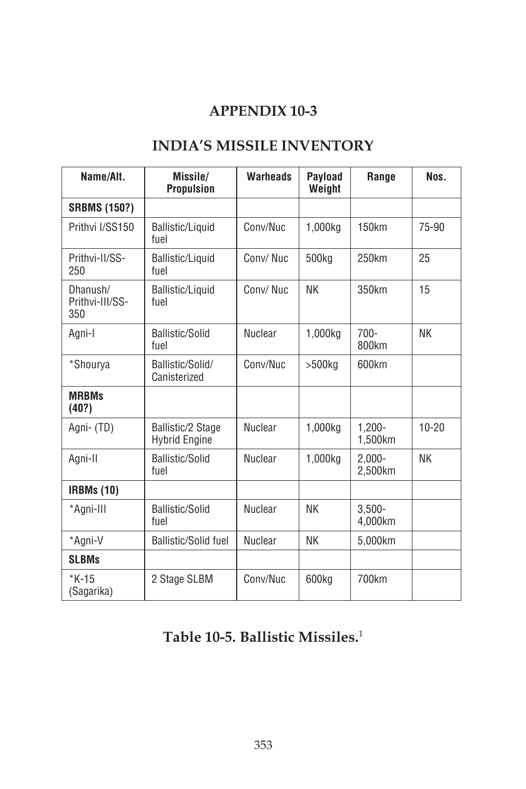## **APPENDIX 10-3**

# **INDIA'S MISSILE INVENTORY**

| Name/Alt.                          | Missile/<br><b>Propulsion</b>                    | <b>Warheads</b> | Payload<br>Weight | Range                | Nos.      |
|------------------------------------|--------------------------------------------------|-----------------|-------------------|----------------------|-----------|
| <b>SRBMS (150?)</b>                |                                                  |                 |                   |                      |           |
| Prithvi I/SS150                    | <b>Ballistic/Liquid</b><br>fuel                  | Conv/Nuc        | 1.000kg           | 150km                | 75-90     |
| Prithvi-II/SS-<br>250              | <b>Ballistic/Liquid</b><br>fuel                  | Conv/Nuc        | 500 <sub>kg</sub> | 250km                | 25        |
| Dhanush/<br>Prithvi-III/SS-<br>350 | <b>Ballistic/Liquid</b><br>fuel                  | Conv/Nuc        | ΝK                | 350km                | 15        |
| Agni-I                             | <b>Ballistic/Solid</b><br>fuel                   | <b>Nuclear</b>  | 1,000kg           | $700 -$<br>800km     | ΝK        |
| *Shourya                           | Ballistic/Solid/<br>Canisterized                 | Conv/Nuc        | >500kg            | 600km                |           |
| <b>MRBMs</b><br>(40?)              |                                                  |                 |                   |                      |           |
| Agni- (TD)                         | <b>Ballistic/2 Stage</b><br><b>Hybrid Engine</b> | <b>Nuclear</b>  | 1,000kg           | $1,200 -$<br>1,500km | $10 - 20$ |
| Agni-II                            | <b>Ballistic/Solid</b><br>fuel                   | <b>Nuclear</b>  | 1,000kg           | $2,000 -$<br>2,500km | ΝK        |
| <b>IRBMs (10)</b>                  |                                                  |                 |                   |                      |           |
| *Agni-III                          | <b>Ballistic/Solid</b><br>fuel                   | Nuclear         | ΝK                | $3,500-$<br>4,000km  |           |
| *Agni-V                            | <b>Ballistic/Solid fuel</b>                      | <b>Nuclear</b>  | ΝK                | 5,000km              |           |
| <b>SLBMs</b>                       |                                                  |                 |                   |                      |           |
| $*K-15$<br>(Sagarika)              | 2 Stage SLBM                                     | Conv/Nuc        | 600kg             | 700km                |           |

# **Table 10-5. Ballistic Missiles.**<sup>1</sup>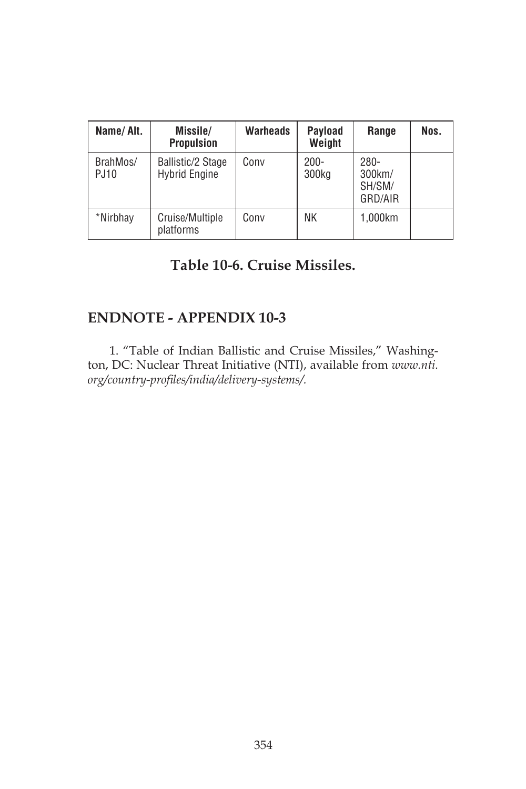| Name/Alt.               | Missile/<br><b>Propulsion</b>             | <b>Warheads</b> | Payload<br>Weight | Range                                  | Nos. |
|-------------------------|-------------------------------------------|-----------------|-------------------|----------------------------------------|------|
| BrahMos/<br><b>PJ10</b> | Ballistic/2 Stage<br><b>Hybrid Engine</b> | Conv            | $200 -$<br>300kg  | $280 -$<br>300km/<br>SH/SM/<br>GRD/AIR |      |
| *Nirbhay                | Cruise/Multiple<br>platforms              | Conv            | ΝK                | 1.000km                                |      |

## **Table 10-6. Cruise Missiles.**

### **ENDNOTE - APPENDIX 10-3**

1. "Table of Indian Ballistic and Cruise Missiles," Washington, DC: Nuclear Threat Initiative (NTI), available from *www.nti. org/country-profiles/india/delivery-systems/.*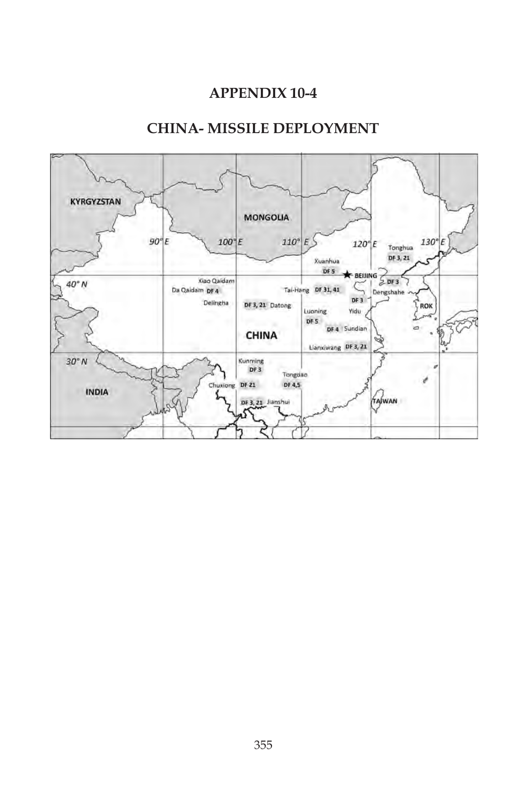### **APPENDIX 10-4**

### **CHINA- MISSILE DEPLOYMENT**